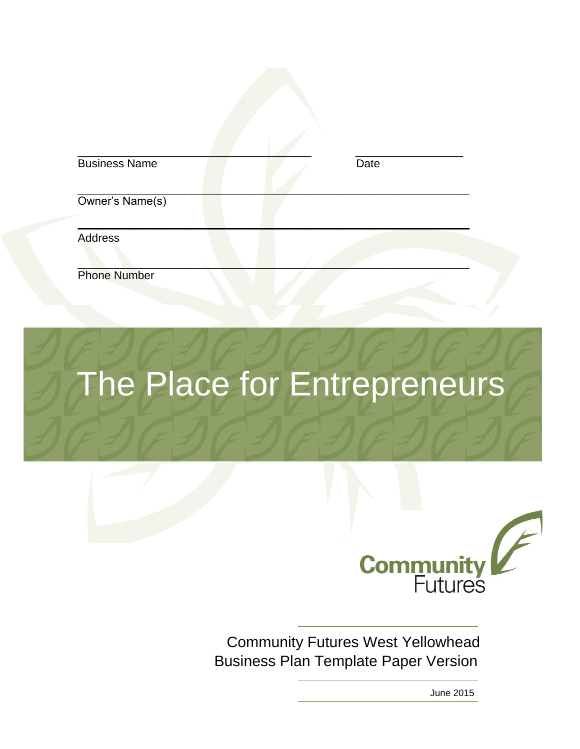| <b>Business Name</b> | Date |  |
|----------------------|------|--|
| Owner's Name(s)      |      |  |
| <b>Address</b>       |      |  |
| <b>Phone Number</b>  |      |  |

# The Place for Entrepreneurs



Community Futures West Yellowhead Business Plan Template Paper Version

June 2015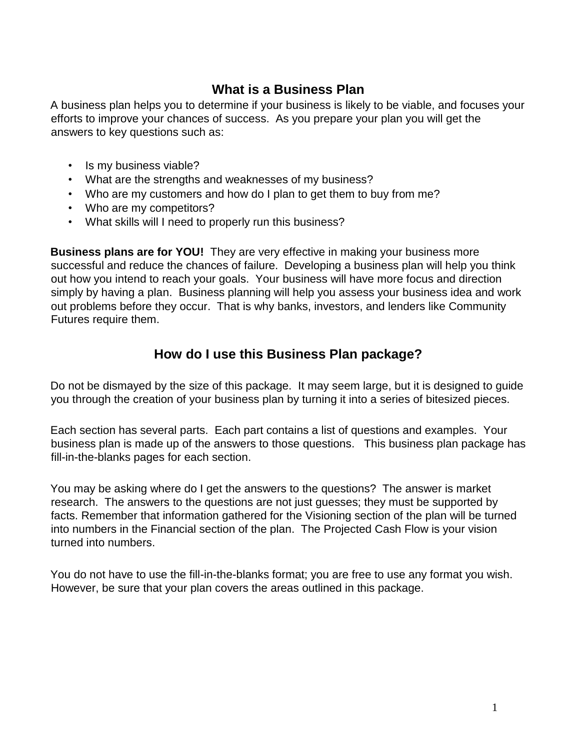# **What is a Business Plan**

A business plan helps you to determine if your business is likely to be viable, and focuses your efforts to improve your chances of success. As you prepare your plan you will get the answers to key questions such as:

- Is my business viable?
- What are the strengths and weaknesses of my business?
- Who are my customers and how do I plan to get them to buy from me?
- Who are my competitors?
- What skills will I need to properly run this business?

**Business plans are for YOU!** They are very effective in making your business more successful and reduce the chances of failure. Developing a business plan will help you think out how you intend to reach your goals. Your business will have more focus and direction simply by having a plan. Business planning will help you assess your business idea and work out problems before they occur. That is why banks, investors, and lenders like Community Futures require them.

# **How do I use this Business Plan package?**

Do not be dismayed by the size of this package. It may seem large, but it is designed to guide you through the creation of your business plan by turning it into a series of bitesized pieces.

Each section has several parts. Each part contains a list of questions and examples. Your business plan is made up of the answers to those questions. This business plan package has fill-in-the-blanks pages for each section.

You may be asking where do I get the answers to the questions? The answer is market research. The answers to the questions are not just guesses; they must be supported by facts. Remember that information gathered for the Visioning section of the plan will be turned into numbers in the Financial section of the plan. The Projected Cash Flow is your vision turned into numbers.

You do not have to use the fill-in-the-blanks format; you are free to use any format you wish. However, be sure that your plan covers the areas outlined in this package.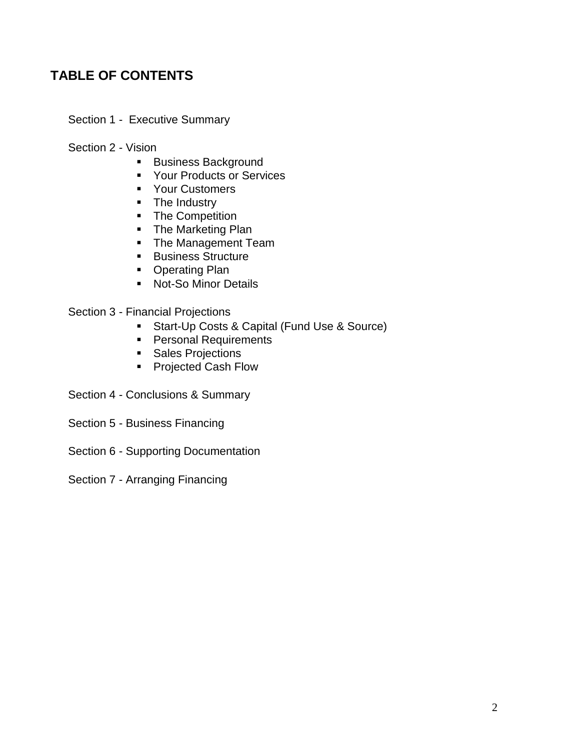# **TABLE OF CONTENTS**

Section 1 - Executive Summary

Section 2 - Vision

- **Business Background**
- **Your Products or Services**
- **Your Customers**
- The Industry
- The Competition
- The Marketing Plan
- **The Management Team**
- **Business Structure**
- **Operating Plan**
- **Not-So Minor Details**

Section 3 - Financial Projections

- Start-Up Costs & Capital (Fund Use & Source)
- **Personal Requirements**
- **Sales Projections**
- Projected Cash Flow
- Section 4 Conclusions & Summary
- Section 5 Business Financing
- Section 6 Supporting Documentation
- Section 7 Arranging Financing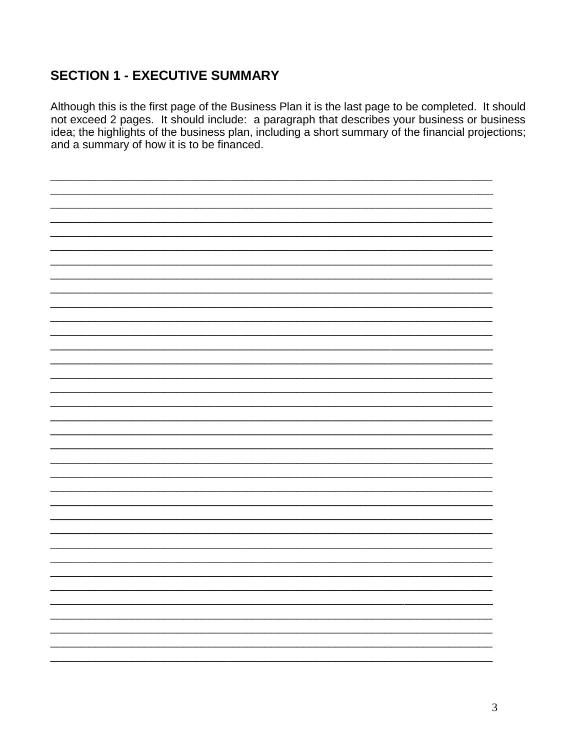# **SECTION 1 - EXECUTIVE SUMMARY**

Although this is the first page of the Business Plan it is the last page to be completed. It should not exceed 2 pages. It should include: a paragraph that describes your business or business idea; the highlights of the business plan, including a short summary of the financial projections; and a summary of how it is to be financed.

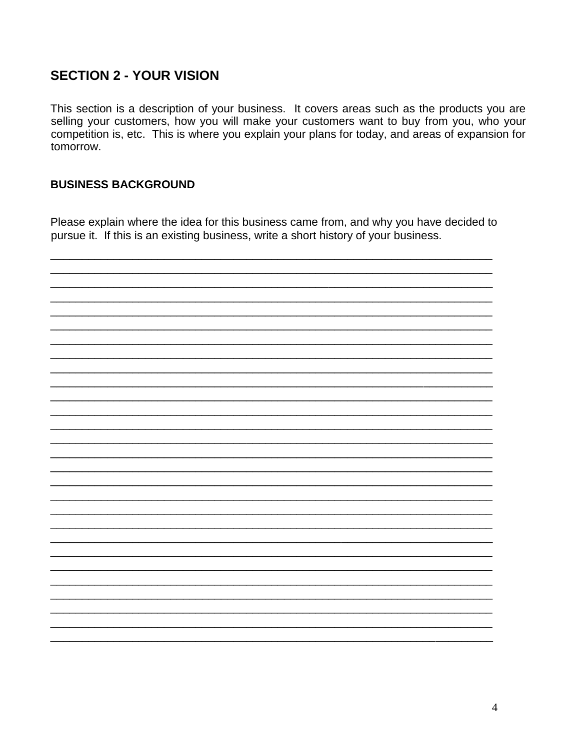# **SECTION 2 - YOUR VISION**

This section is a description of your business. It covers areas such as the products you are selling your customers, how you will make your customers want to buy from you, who your competition is, etc. This is where you explain your plans for today, and areas of expansion for tomorrow.

#### **BUSINESS BACKGROUND**

Please explain where the idea for this business came from, and why you have decided to pursue it. If this is an existing business, write a short history of your business.

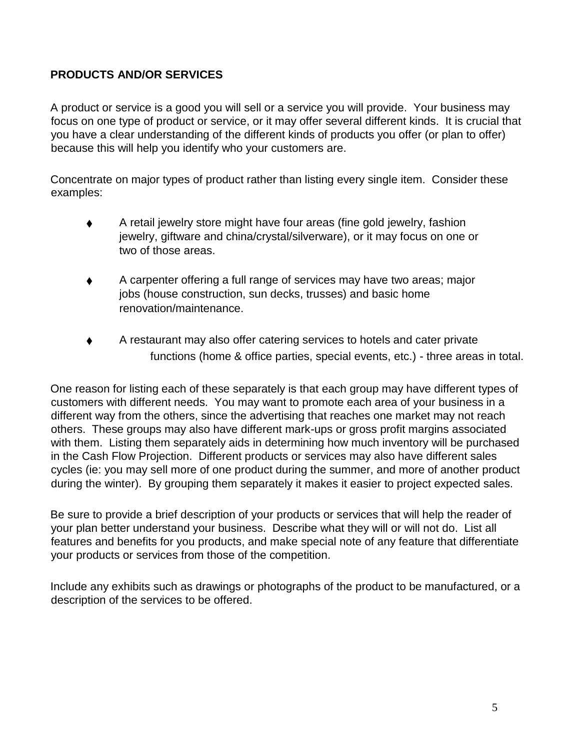# **PRODUCTS AND/OR SERVICES**

A product or service is a good you will sell or a service you will provide. Your business may focus on one type of product or service, or it may offer several different kinds. It is crucial that you have a clear understanding of the different kinds of products you offer (or plan to offer) because this will help you identify who your customers are.

Concentrate on major types of product rather than listing every single item. Consider these examples:

- A retail jewelry store might have four areas (fine gold jewelry, fashion jewelry, giftware and china/crystal/silverware), or it may focus on one or two of those areas.
- A carpenter offering a full range of services may have two areas; major jobs (house construction, sun decks, trusses) and basic home renovation/maintenance.
- A restaurant may also offer catering services to hotels and cater private functions (home & office parties, special events, etc.) - three areas in total.

One reason for listing each of these separately is that each group may have different types of customers with different needs. You may want to promote each area of your business in a different way from the others, since the advertising that reaches one market may not reach others. These groups may also have different mark-ups or gross profit margins associated with them. Listing them separately aids in determining how much inventory will be purchased in the Cash Flow Projection. Different products or services may also have different sales cycles (ie: you may sell more of one product during the summer, and more of another product during the winter). By grouping them separately it makes it easier to project expected sales.

Be sure to provide a brief description of your products or services that will help the reader of your plan better understand your business. Describe what they will or will not do. List all features and benefits for you products, and make special note of any feature that differentiate your products or services from those of the competition.

Include any exhibits such as drawings or photographs of the product to be manufactured, or a description of the services to be offered.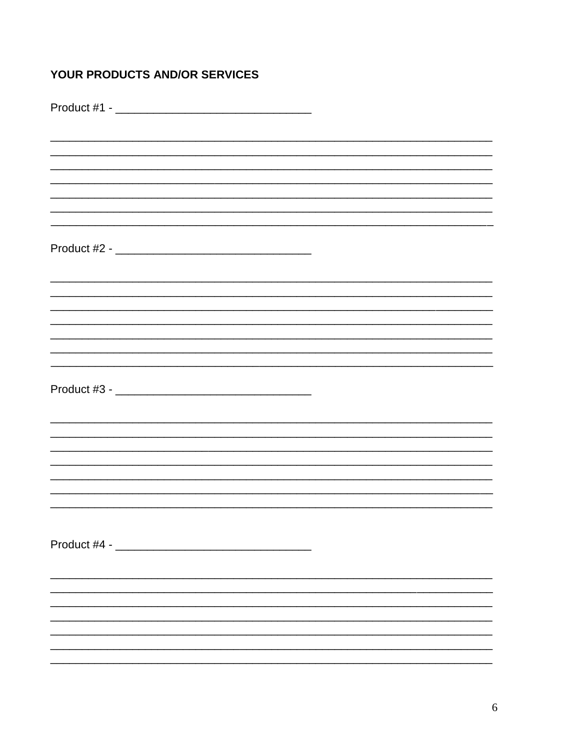# YOUR PRODUCTS AND/OR SERVICES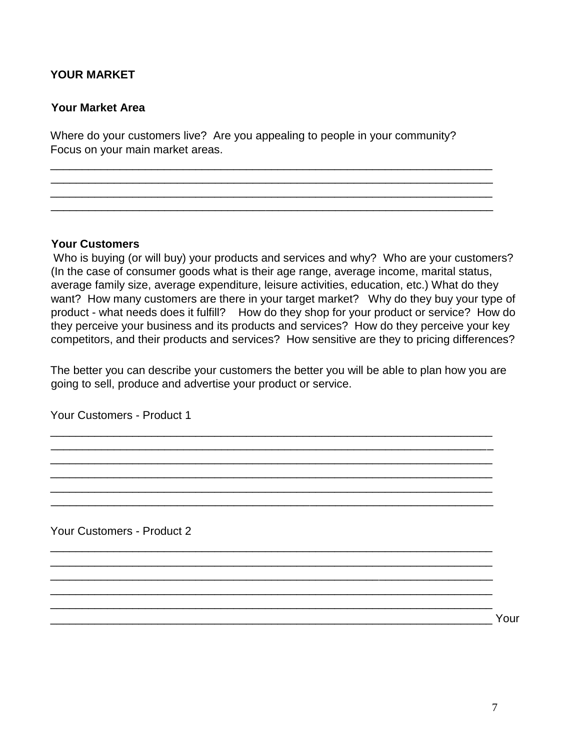## **YOUR MARKET**

#### **Your Market Area**

Where do your customers live? Are you appealing to people in your community? Focus on your main market areas.

\_\_\_\_\_\_\_\_\_\_\_\_\_\_\_\_\_\_\_\_\_\_\_\_\_\_\_\_\_\_\_\_\_\_\_\_\_\_\_\_\_\_\_\_\_\_\_\_\_\_\_\_\_\_\_\_\_\_\_\_\_\_\_\_\_\_\_\_\_\_ \_\_\_\_\_\_\_\_\_\_\_\_\_\_\_\_\_\_\_\_\_\_\_\_\_\_\_\_\_\_\_\_\_\_\_\_\_\_\_\_\_\_\_\_\_\_\_\_\_\_\_\_\_\_\_\_\_\_\_\_\_\_\_\_\_\_\_\_\_\_ \_\_\_\_\_\_\_\_\_\_\_\_\_\_\_\_\_\_\_\_\_\_\_\_\_\_\_\_\_\_\_\_\_\_\_\_\_\_\_\_\_\_\_\_\_\_\_\_\_\_\_\_\_\_\_\_\_\_\_\_\_\_\_\_\_\_\_\_\_\_ \_\_\_\_\_\_\_\_\_\_\_\_\_\_\_\_\_\_\_\_\_\_\_\_\_\_\_\_\_\_\_\_\_\_\_\_\_\_\_\_\_\_\_\_\_\_\_\_\_\_\_\_\_\_\_\_\_\_\_\_\_\_\_\_\_\_\_\_\_\_

#### **Your Customers**

Who is buying (or will buy) your products and services and why?Who are your customers? (In the case of consumer goods what is their age range, average income, marital status, average family size, average expenditure, leisure activities, education, etc.) What do they want? How many customers are there in your target market? Why do they buy your type of product - what needs does it fulfill? How do they shop for your product or service? How do they perceive your business and its products and services? How do they perceive your key competitors, and their products and services? How sensitive are they to pricing differences?

The better you can describe your customers the better you will be able to plan how you are going to sell, produce and advertise your product or service.

\_\_\_\_\_\_\_\_\_\_\_\_\_\_\_\_\_\_\_\_\_\_\_\_\_\_\_\_\_\_\_\_\_\_\_\_\_\_\_\_\_\_\_\_\_\_\_\_\_\_\_\_\_\_\_\_\_\_\_\_\_\_\_\_\_\_\_\_\_\_ \_\_\_\_\_\_\_\_\_\_\_\_\_\_\_\_\_\_\_\_\_\_\_\_\_\_\_\_\_\_\_\_\_\_\_\_\_\_\_\_\_\_\_\_\_\_\_\_\_\_\_\_\_\_\_\_\_\_\_\_\_\_\_\_\_\_\_\_\_\_ \_\_\_\_\_\_\_\_\_\_\_\_\_\_\_\_\_\_\_\_\_\_\_\_\_\_\_\_\_\_\_\_\_\_\_\_\_\_\_\_\_\_\_\_\_\_\_\_\_\_\_\_\_\_\_\_\_\_\_\_\_\_\_\_\_\_\_\_\_\_ \_\_\_\_\_\_\_\_\_\_\_\_\_\_\_\_\_\_\_\_\_\_\_\_\_\_\_\_\_\_\_\_\_\_\_\_\_\_\_\_\_\_\_\_\_\_\_\_\_\_\_\_\_\_\_\_\_\_\_\_\_\_\_\_\_\_\_\_\_\_ \_\_\_\_\_\_\_\_\_\_\_\_\_\_\_\_\_\_\_\_\_\_\_\_\_\_\_\_\_\_\_\_\_\_\_\_\_\_\_\_\_\_\_\_\_\_\_\_\_\_\_\_\_\_\_\_\_\_\_\_\_\_\_\_\_\_\_\_\_\_ \_\_\_\_\_\_\_\_\_\_\_\_\_\_\_\_\_\_\_\_\_\_\_\_\_\_\_\_\_\_\_\_\_\_\_\_\_\_\_\_\_\_\_\_\_\_\_\_\_\_\_\_\_\_\_\_\_\_\_\_\_\_\_\_\_\_\_\_\_\_

\_\_\_\_\_\_\_\_\_\_\_\_\_\_\_\_\_\_\_\_\_\_\_\_\_\_\_\_\_\_\_\_\_\_\_\_\_\_\_\_\_\_\_\_\_\_\_\_\_\_\_\_\_\_\_\_\_\_\_\_\_\_\_\_\_\_\_\_\_\_ \_\_\_\_\_\_\_\_\_\_\_\_\_\_\_\_\_\_\_\_\_\_\_\_\_\_\_\_\_\_\_\_\_\_\_\_\_\_\_\_\_\_\_\_\_\_\_\_\_\_\_\_\_\_\_\_\_\_\_\_\_\_\_\_\_\_\_\_\_\_ \_\_\_\_\_\_\_\_\_\_\_\_\_\_\_\_\_\_\_\_\_\_\_\_\_\_\_\_\_\_\_\_\_\_\_\_\_\_\_\_\_\_\_\_\_\_\_\_\_\_\_\_\_\_\_\_\_\_\_\_\_\_\_\_\_\_\_\_\_\_ \_\_\_\_\_\_\_\_\_\_\_\_\_\_\_\_\_\_\_\_\_\_\_\_\_\_\_\_\_\_\_\_\_\_\_\_\_\_\_\_\_\_\_\_\_\_\_\_\_\_\_\_\_\_\_\_\_\_\_\_\_\_\_\_\_\_\_\_\_\_

Your Customers - Product 1

Your Customers - Product 2

\_\_\_\_\_\_\_\_\_\_\_\_\_\_\_\_\_\_\_\_\_\_\_\_\_\_\_\_\_\_\_\_\_\_\_\_\_\_\_\_\_\_\_\_\_\_\_\_\_\_\_\_\_\_\_\_\_\_\_\_\_\_\_\_\_\_\_\_\_\_ Your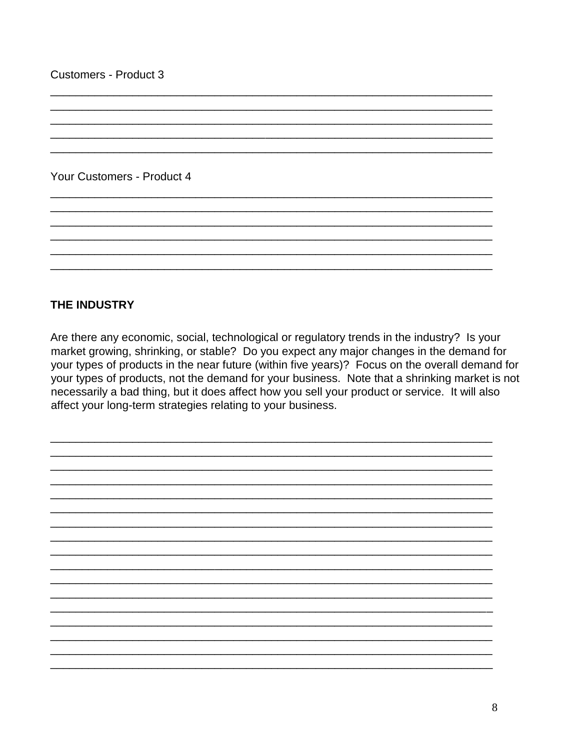Your Customers - Product 4

## **THE INDUSTRY**

Are there any economic, social, technological or regulatory trends in the industry? Is your market growing, shrinking, or stable? Do you expect any major changes in the demand for your types of products in the near future (within five years)? Focus on the overall demand for your types of products, not the demand for your business. Note that a shrinking market is not necessarily a bad thing, but it does affect how you sell your product or service. It will also affect your long-term strategies relating to your business.

8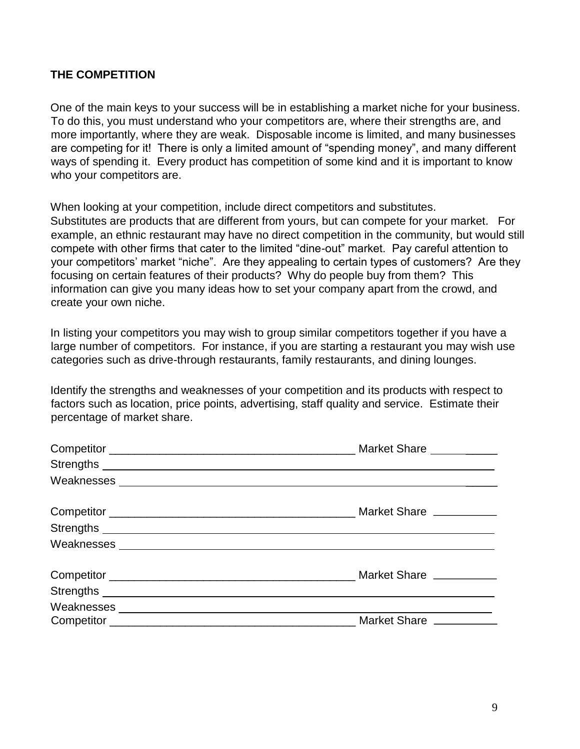## **THE COMPETITION**

One of the main keys to your success will be in establishing a market niche for your business. To do this, you must understand who your competitors are, where their strengths are, and more importantly, where they are weak. Disposable income is limited, and many businesses are competing for it! There is only a limited amount of "spending money", and many different ways of spending it. Every product has competition of some kind and it is important to know who your competitors are.

When looking at your competition, include direct competitors and substitutes. Substitutes are products that are different from yours, but can compete for your market. For example, an ethnic restaurant may have no direct competition in the community, but would still compete with other firms that cater to the limited "dine-out" market. Pay careful attention to your competitors' market "niche". Are they appealing to certain types of customers? Are they focusing on certain features of their products? Why do people buy from them? This information can give you many ideas how to set your company apart from the crowd, and create your own niche.

In listing your competitors you may wish to group similar competitors together if you have a large number of competitors. For instance, if you are starting a restaurant you may wish use categories such as drive-through restaurants, family restaurants, and dining lounges.

Identify the strengths and weaknesses of your competition and its products with respect to factors such as location, price points, advertising, staff quality and service. Estimate their percentage of market share.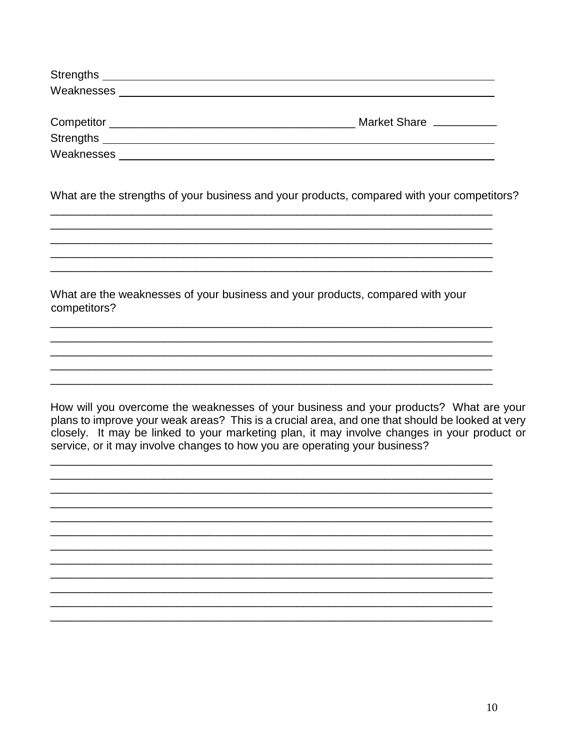| <b>Strengths</b> |                          |
|------------------|--------------------------|
|                  |                          |
|                  | Market Share ___________ |
| <b>Strengths</b> |                          |
| Weaknesses       |                          |

What are the strengths of your business and your products, compared with your competitors?

What are the weaknesses of your business and your products, compared with your competitors?

How will you overcome the weaknesses of your business and your products? What are your plans to improve your weak areas? This is a crucial area, and one that should be looked at very closely. It may be linked to your marketing plan, it may involve changes in your product or service, or it may involve changes to how you are operating your business?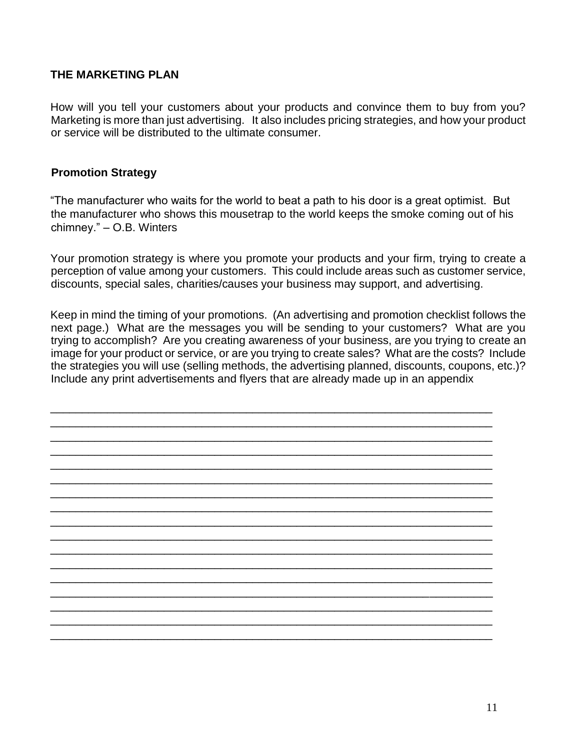## **THE MARKETING PLAN**

How will you tell your customers about your products and convince them to buy from you? Marketing is more than just advertising. It also includes pricing strategies, and how your product or service will be distributed to the ultimate consumer.

### **Promotion Strategy**

"The manufacturer who waits for the world to beat a path to his door is a great optimist. But the manufacturer who shows this mousetrap to the world keeps the smoke coming out of his chimney." – O.B. Winters

Your promotion strategy is where you promote your products and your firm, trying to create a perception of value among your customers. This could include areas such as customer service, discounts, special sales, charities/causes your business may support, and advertising.

Keep in mind the timing of your promotions. (An advertising and promotion checklist follows the next page.) What are the messages you will be sending to your customers? What are you trying to accomplish? Are you creating awareness of your business, are you trying to create an image for your product or service, or are you trying to create sales? What are the costs? Include the strategies you will use (selling methods, the advertising planned, discounts, coupons, etc.)? Include any print advertisements and flyers that are already made up in an appendix

\_\_\_\_\_\_\_\_\_\_\_\_\_\_\_\_\_\_\_\_\_\_\_\_\_\_\_\_\_\_\_\_\_\_\_\_\_\_\_\_\_\_\_\_\_\_\_\_\_\_\_\_\_\_\_\_\_\_\_\_\_\_\_\_\_\_\_\_\_\_ \_\_\_\_\_\_\_\_\_\_\_\_\_\_\_\_\_\_\_\_\_\_\_\_\_\_\_\_\_\_\_\_\_\_\_\_\_\_\_\_\_\_\_\_\_\_\_\_\_\_\_\_\_\_\_\_\_\_\_\_\_\_\_\_\_\_\_\_\_\_ \_\_\_\_\_\_\_\_\_\_\_\_\_\_\_\_\_\_\_\_\_\_\_\_\_\_\_\_\_\_\_\_\_\_\_\_\_\_\_\_\_\_\_\_\_\_\_\_\_\_\_\_\_\_\_\_\_\_\_\_\_\_\_\_\_\_\_\_\_\_ \_\_\_\_\_\_\_\_\_\_\_\_\_\_\_\_\_\_\_\_\_\_\_\_\_\_\_\_\_\_\_\_\_\_\_\_\_\_\_\_\_\_\_\_\_\_\_\_\_\_\_\_\_\_\_\_\_\_\_\_\_\_\_\_\_\_\_\_\_\_ \_\_\_\_\_\_\_\_\_\_\_\_\_\_\_\_\_\_\_\_\_\_\_\_\_\_\_\_\_\_\_\_\_\_\_\_\_\_\_\_\_\_\_\_\_\_\_\_\_\_\_\_\_\_\_\_\_\_\_\_\_\_\_\_\_\_\_\_\_\_ \_\_\_\_\_\_\_\_\_\_\_\_\_\_\_\_\_\_\_\_\_\_\_\_\_\_\_\_\_\_\_\_\_\_\_\_\_\_\_\_\_\_\_\_\_\_\_\_\_\_\_\_\_\_\_\_\_\_\_\_\_\_\_\_\_\_\_\_\_\_ \_\_\_\_\_\_\_\_\_\_\_\_\_\_\_\_\_\_\_\_\_\_\_\_\_\_\_\_\_\_\_\_\_\_\_\_\_\_\_\_\_\_\_\_\_\_\_\_\_\_\_\_\_\_\_\_\_\_\_\_\_\_\_\_\_\_\_\_\_\_ \_\_\_\_\_\_\_\_\_\_\_\_\_\_\_\_\_\_\_\_\_\_\_\_\_\_\_\_\_\_\_\_\_\_\_\_\_\_\_\_\_\_\_\_\_\_\_\_\_\_\_\_\_\_\_\_\_\_\_\_\_\_\_\_\_\_\_\_\_\_ \_\_\_\_\_\_\_\_\_\_\_\_\_\_\_\_\_\_\_\_\_\_\_\_\_\_\_\_\_\_\_\_\_\_\_\_\_\_\_\_\_\_\_\_\_\_\_\_\_\_\_\_\_\_\_\_\_\_\_\_\_\_\_\_\_\_\_\_\_\_ \_\_\_\_\_\_\_\_\_\_\_\_\_\_\_\_\_\_\_\_\_\_\_\_\_\_\_\_\_\_\_\_\_\_\_\_\_\_\_\_\_\_\_\_\_\_\_\_\_\_\_\_\_\_\_\_\_\_\_\_\_\_\_\_\_\_\_\_\_\_ \_\_\_\_\_\_\_\_\_\_\_\_\_\_\_\_\_\_\_\_\_\_\_\_\_\_\_\_\_\_\_\_\_\_\_\_\_\_\_\_\_\_\_\_\_\_\_\_\_\_\_\_\_\_\_\_\_\_\_\_\_\_\_\_\_\_\_\_\_\_ \_\_\_\_\_\_\_\_\_\_\_\_\_\_\_\_\_\_\_\_\_\_\_\_\_\_\_\_\_\_\_\_\_\_\_\_\_\_\_\_\_\_\_\_\_\_\_\_\_\_\_\_\_\_\_\_\_\_\_\_\_\_\_\_\_\_\_\_\_\_ \_\_\_\_\_\_\_\_\_\_\_\_\_\_\_\_\_\_\_\_\_\_\_\_\_\_\_\_\_\_\_\_\_\_\_\_\_\_\_\_\_\_\_\_\_\_\_\_\_\_\_\_\_\_\_\_\_\_\_\_\_\_\_\_\_\_\_\_\_\_ \_\_\_\_\_\_\_\_\_\_\_\_\_\_\_\_\_\_\_\_\_\_\_\_\_\_\_\_\_\_\_\_\_\_\_\_\_\_\_\_\_\_\_\_\_\_\_\_\_\_\_\_\_\_\_\_\_\_\_\_\_\_\_\_\_\_\_\_\_\_ \_\_\_\_\_\_\_\_\_\_\_\_\_\_\_\_\_\_\_\_\_\_\_\_\_\_\_\_\_\_\_\_\_\_\_\_\_\_\_\_\_\_\_\_\_\_\_\_\_\_\_\_\_\_\_\_\_\_\_\_\_\_\_\_\_\_\_\_\_\_ \_\_\_\_\_\_\_\_\_\_\_\_\_\_\_\_\_\_\_\_\_\_\_\_\_\_\_\_\_\_\_\_\_\_\_\_\_\_\_\_\_\_\_\_\_\_\_\_\_\_\_\_\_\_\_\_\_\_\_\_\_\_\_\_\_\_\_\_\_\_ \_\_\_\_\_\_\_\_\_\_\_\_\_\_\_\_\_\_\_\_\_\_\_\_\_\_\_\_\_\_\_\_\_\_\_\_\_\_\_\_\_\_\_\_\_\_\_\_\_\_\_\_\_\_\_\_\_\_\_\_\_\_\_\_\_\_\_\_\_\_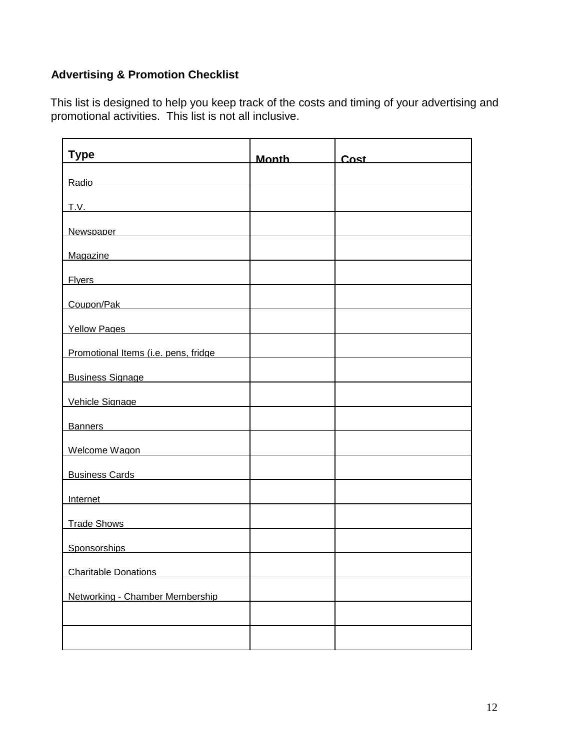# **Advertising & Promotion Checklist**

This list is designed to help you keep track of the costs and timing of your advertising and promotional activities. This list is not all inclusive.

| <b>Type</b>                                                                                                                                                                                                                         | <u>Month</u> | Cost |
|-------------------------------------------------------------------------------------------------------------------------------------------------------------------------------------------------------------------------------------|--------------|------|
| Radio                                                                                                                                                                                                                               |              |      |
|                                                                                                                                                                                                                                     |              |      |
| Newspaper Newspaper                                                                                                                                                                                                                 |              |      |
| Magazine <b>Magazine Magazine Magazine Magazine Magazine Magazine Magazine Magazine Magazine Magazine Magazine Magazine Magazine Magazine Magazine Magazine Magazine Magazine Magazine Mag</b>                                      |              |      |
| Fivers <b>Exercísion Exercísion Exercísion Exercísion</b>                                                                                                                                                                           |              |      |
| Coupon/Pak 2001                                                                                                                                                                                                                     |              |      |
| Yellow Pages <b>Manual</b>                                                                                                                                                                                                          |              |      |
| Promotional Items (i.e. pens, fridge                                                                                                                                                                                                |              |      |
| <b>Business Signage Contract Services</b>                                                                                                                                                                                           |              |      |
| Vehicle Signage                                                                                                                                                                                                                     |              |      |
| Banners <b>Banners Banners Banners Banners Banners Banners Banners Banners Banners Banners Banners Banners Banners Banners Banners Banners Banners Banners Banners Banners Banners Ban</b>                                          |              |      |
| Welcome Wagon                                                                                                                                                                                                                       |              |      |
| <b>Business Cards Cards Cards Cards Cards Cards Cards Cards Cards Cards Cards Cards Cards Cards Cards Cards Cards Cards Cards Cards Cards Cards Cards Cards Cards Cards Card</b>                                                    |              |      |
| <u>Internet</u> and the contract of the contract of the contract of the contract of the contract of the contract of the contract of the contract of the contract of the contract of the contract of the contract of the contract of |              |      |
| <b>Trade Shows</b>                                                                                                                                                                                                                  |              |      |
| Sponsorships                                                                                                                                                                                                                        |              |      |
| <b>Charitable Donations</b>                                                                                                                                                                                                         |              |      |
| Networking - Chamber Membership                                                                                                                                                                                                     |              |      |
|                                                                                                                                                                                                                                     |              |      |
|                                                                                                                                                                                                                                     |              |      |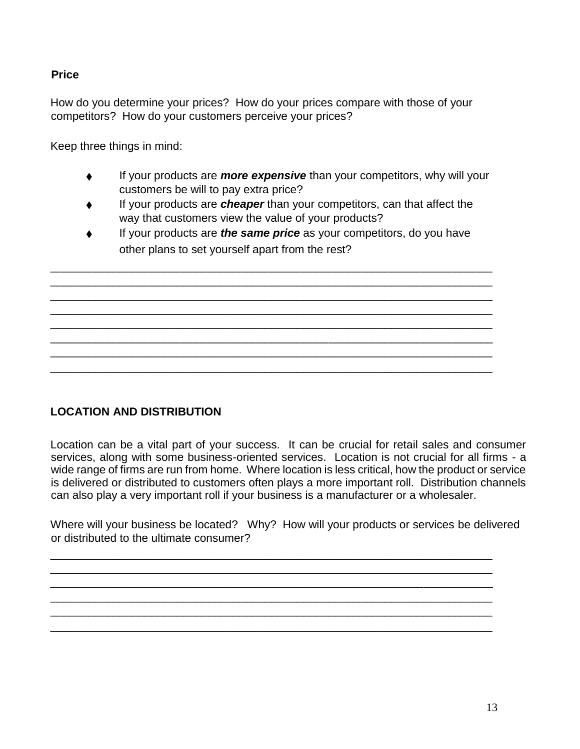# **Price**

How do you determine your prices? How do your prices compare with those of your competitors? How do your customers perceive your prices?

Keep three things in mind:

- ♦ If your products are *more expensive* than your competitors, why will your customers be will to pay extra price?
- ♦ If your products are *cheaper* than your competitors, can that affect the way that customers view the value of your products?
- If your products are *the same price* as your competitors, do you have other plans to set yourself apart from the rest?

\_\_\_\_\_\_\_\_\_\_\_\_\_\_\_\_\_\_\_\_\_\_\_\_\_\_\_\_\_\_\_\_\_\_\_\_\_\_\_\_\_\_\_\_\_\_\_\_\_\_\_\_\_\_\_\_\_\_\_\_\_\_\_\_\_\_\_\_\_\_ \_\_\_\_\_\_\_\_\_\_\_\_\_\_\_\_\_\_\_\_\_\_\_\_\_\_\_\_\_\_\_\_\_\_\_\_\_\_\_\_\_\_\_\_\_\_\_\_\_\_\_\_\_\_\_\_\_\_\_\_\_\_\_\_\_\_\_\_\_\_ \_\_\_\_\_\_\_\_\_\_\_\_\_\_\_\_\_\_\_\_\_\_\_\_\_\_\_\_\_\_\_\_\_\_\_\_\_\_\_\_\_\_\_\_\_\_\_\_\_\_\_\_\_\_\_\_\_\_\_\_\_\_\_\_\_\_\_\_\_\_ \_\_\_\_\_\_\_\_\_\_\_\_\_\_\_\_\_\_\_\_\_\_\_\_\_\_\_\_\_\_\_\_\_\_\_\_\_\_\_\_\_\_\_\_\_\_\_\_\_\_\_\_\_\_\_\_\_\_\_\_\_\_\_\_\_\_\_\_\_\_ \_\_\_\_\_\_\_\_\_\_\_\_\_\_\_\_\_\_\_\_\_\_\_\_\_\_\_\_\_\_\_\_\_\_\_\_\_\_\_\_\_\_\_\_\_\_\_\_\_\_\_\_\_\_\_\_\_\_\_\_\_\_\_\_\_\_\_\_\_\_ \_\_\_\_\_\_\_\_\_\_\_\_\_\_\_\_\_\_\_\_\_\_\_\_\_\_\_\_\_\_\_\_\_\_\_\_\_\_\_\_\_\_\_\_\_\_\_\_\_\_\_\_\_\_\_\_\_\_\_\_\_\_\_\_\_\_\_\_\_\_ \_\_\_\_\_\_\_\_\_\_\_\_\_\_\_\_\_\_\_\_\_\_\_\_\_\_\_\_\_\_\_\_\_\_\_\_\_\_\_\_\_\_\_\_\_\_\_\_\_\_\_\_\_\_\_\_\_\_\_\_\_\_\_\_\_\_\_\_\_\_ \_\_\_\_\_\_\_\_\_\_\_\_\_\_\_\_\_\_\_\_\_\_\_\_\_\_\_\_\_\_\_\_\_\_\_\_\_\_\_\_\_\_\_\_\_\_\_\_\_\_\_\_\_\_\_\_\_\_\_\_\_\_\_\_\_\_\_\_\_\_

**LOCATION AND DISTRIBUTION**

Location can be a vital part of your success. It can be crucial for retail sales and consumer services, along with some business-oriented services. Location is not crucial for all firms - a wide range of firms are run from home. Where location is less critical, how the product or service is delivered or distributed to customers often plays a more important roll. Distribution channels can also play a very important roll if your business is a manufacturer or a wholesaler.

Where will your business be located? Why? How will your products or services be delivered or distributed to the ultimate consumer?

\_\_\_\_\_\_\_\_\_\_\_\_\_\_\_\_\_\_\_\_\_\_\_\_\_\_\_\_\_\_\_\_\_\_\_\_\_\_\_\_\_\_\_\_\_\_\_\_\_\_\_\_\_\_\_\_\_\_\_\_\_\_\_\_\_\_\_\_\_\_ \_\_\_\_\_\_\_\_\_\_\_\_\_\_\_\_\_\_\_\_\_\_\_\_\_\_\_\_\_\_\_\_\_\_\_\_\_\_\_\_\_\_\_\_\_\_\_\_\_\_\_\_\_\_\_\_\_\_\_\_\_\_\_\_\_\_\_\_\_\_ \_\_\_\_\_\_\_\_\_\_\_\_\_\_\_\_\_\_\_\_\_\_\_\_\_\_\_\_\_\_\_\_\_\_\_\_\_\_\_\_\_\_\_\_\_\_\_\_\_\_\_\_\_\_\_\_\_\_\_\_\_\_\_\_\_\_\_\_\_\_ \_\_\_\_\_\_\_\_\_\_\_\_\_\_\_\_\_\_\_\_\_\_\_\_\_\_\_\_\_\_\_\_\_\_\_\_\_\_\_\_\_\_\_\_\_\_\_\_\_\_\_\_\_\_\_\_\_\_\_\_\_\_\_\_\_\_\_\_\_\_ \_\_\_\_\_\_\_\_\_\_\_\_\_\_\_\_\_\_\_\_\_\_\_\_\_\_\_\_\_\_\_\_\_\_\_\_\_\_\_\_\_\_\_\_\_\_\_\_\_\_\_\_\_\_\_\_\_\_\_\_\_\_\_\_\_\_\_\_\_\_ \_\_\_\_\_\_\_\_\_\_\_\_\_\_\_\_\_\_\_\_\_\_\_\_\_\_\_\_\_\_\_\_\_\_\_\_\_\_\_\_\_\_\_\_\_\_\_\_\_\_\_\_\_\_\_\_\_\_\_\_\_\_\_\_\_\_\_\_\_\_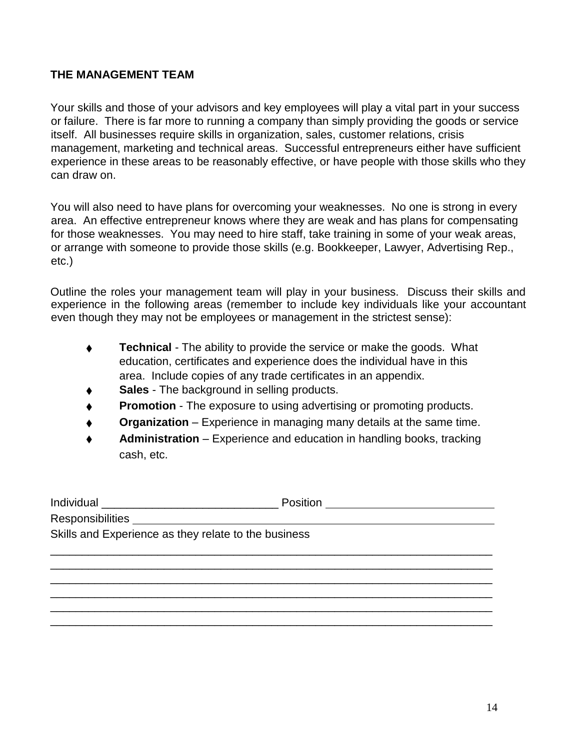## **THE MANAGEMENT TEAM**

Your skills and those of your advisors and key employees will play a vital part in your success or failure. There is far more to running a company than simply providing the goods or service itself. All businesses require skills in organization, sales, customer relations, crisis management, marketing and technical areas. Successful entrepreneurs either have sufficient experience in these areas to be reasonably effective, or have people with those skills who they can draw on.

You will also need to have plans for overcoming your weaknesses. No one is strong in every area. An effective entrepreneur knows where they are weak and has plans for compensating for those weaknesses. You may need to hire staff, take training in some of your weak areas, or arrange with someone to provide those skills (e.g. Bookkeeper, Lawyer, Advertising Rep., etc.)

Outline the roles your management team will play in your business. Discuss their skills and experience in the following areas (remember to include key individuals like your accountant even though they may not be employees or management in the strictest sense):

- **Technical** The ability to provide the service or make the goods. What education, certificates and experience does the individual have in this area. Include copies of any trade certificates in an appendix.
- **Sales** The background in selling products.
- **Promotion** The exposure to using advertising or promoting products.
- **Organization** Experience in managing many details at the same time.
- Administration Experience and education in handling books, tracking cash, etc.

|                                                      | Position <u>________________________</u> |  |  |
|------------------------------------------------------|------------------------------------------|--|--|
|                                                      |                                          |  |  |
| Skills and Experience as they relate to the business |                                          |  |  |
|                                                      |                                          |  |  |
|                                                      |                                          |  |  |
|                                                      |                                          |  |  |
|                                                      |                                          |  |  |
|                                                      |                                          |  |  |
|                                                      |                                          |  |  |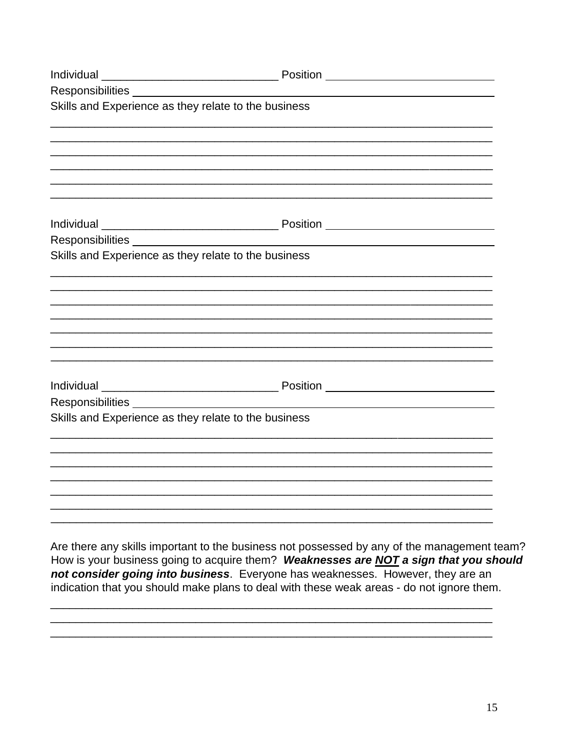| Skills and Experience as they relate to the business |  |
|------------------------------------------------------|--|
|                                                      |  |
|                                                      |  |
|                                                      |  |
|                                                      |  |
|                                                      |  |
|                                                      |  |
|                                                      |  |
| Skills and Experience as they relate to the business |  |
|                                                      |  |
|                                                      |  |
|                                                      |  |
|                                                      |  |
|                                                      |  |
|                                                      |  |
|                                                      |  |
|                                                      |  |
|                                                      |  |
| Skills and Experience as they relate to the business |  |
|                                                      |  |
|                                                      |  |
|                                                      |  |
|                                                      |  |
|                                                      |  |
|                                                      |  |

Are there any skills important to the business not possessed by any of the management team? How is your business going to acquire them? Weaknesses are NOT a sign that you should not consider going into business. Everyone has weaknesses. However, they are an indication that you should make plans to deal with these weak areas - do not ignore them.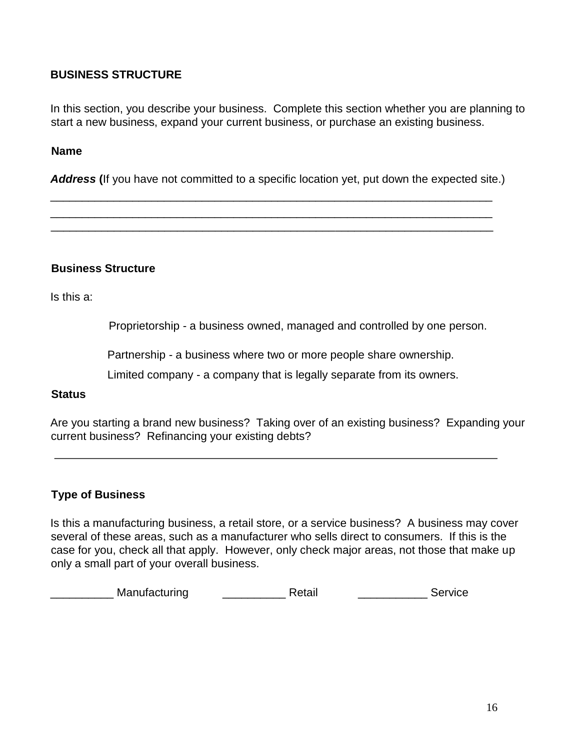## **BUSINESS STRUCTURE**

In this section, you describe your business. Complete this section whether you are planning to start a new business, expand your current business, or purchase an existing business.

#### **Name**

*Address* **(**If you have not committed to a specific location yet, put down the expected site.)

\_\_\_\_\_\_\_\_\_\_\_\_\_\_\_\_\_\_\_\_\_\_\_\_\_\_\_\_\_\_\_\_\_\_\_\_\_\_\_\_\_\_\_\_\_\_\_\_\_\_\_\_\_\_\_\_\_\_\_\_\_\_\_\_\_\_\_\_\_\_ \_\_\_\_\_\_\_\_\_\_\_\_\_\_\_\_\_\_\_\_\_\_\_\_\_\_\_\_\_\_\_\_\_\_\_\_\_\_\_\_\_\_\_\_\_\_\_\_\_\_\_\_\_\_\_\_\_\_\_\_\_\_\_\_\_\_\_\_\_\_ \_\_\_\_\_\_\_\_\_\_\_\_\_\_\_\_\_\_\_\_\_\_\_\_\_\_\_\_\_\_\_\_\_\_\_\_\_\_\_\_\_\_\_\_\_\_\_\_\_\_\_\_\_\_\_\_\_\_\_\_\_\_\_\_\_\_\_\_\_\_

#### **Business Structure**

Is this a:

Proprietorship - a business owned, managed and controlled by one person.

Partnership - a business where two or more people share ownership.

Limited company - a company that is legally separate from its owners.

#### **Status**

Are you starting a brand new business? Taking over of an existing business? Expanding your current business? Refinancing your existing debts?

#### **Type of Business**

Is this a manufacturing business, a retail store, or a service business? A business may cover several of these areas, such as a manufacturer who sells direct to consumers. If this is the case for you, check all that apply. However, only check major areas, not those that make up only a small part of your overall business.

\_\_\_\_\_\_\_\_\_\_\_\_ Manufacturing \_\_\_\_\_\_\_\_\_\_\_\_\_\_\_\_\_ Retail \_\_\_\_\_\_\_\_\_\_\_\_\_\_\_\_\_\_\_\_ Service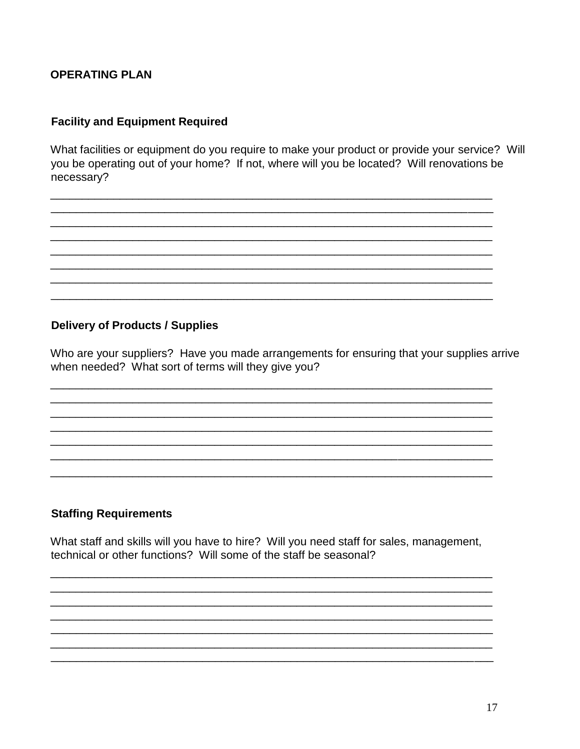## **OPERATING PLAN**

## **Facility and Equipment Required**

What facilities or equipment do you require to make your product or provide your service? Will you be operating out of your home? If not, where will you be located? Will renovations be necessary?

#### **Delivery of Products / Supplies**

Who are your suppliers? Have you made arrangements for ensuring that your supplies arrive when needed? What sort of terms will they give you?

## **Staffing Requirements**

What staff and skills will you have to hire? Will you need staff for sales, management, technical or other functions? Will some of the staff be seasonal?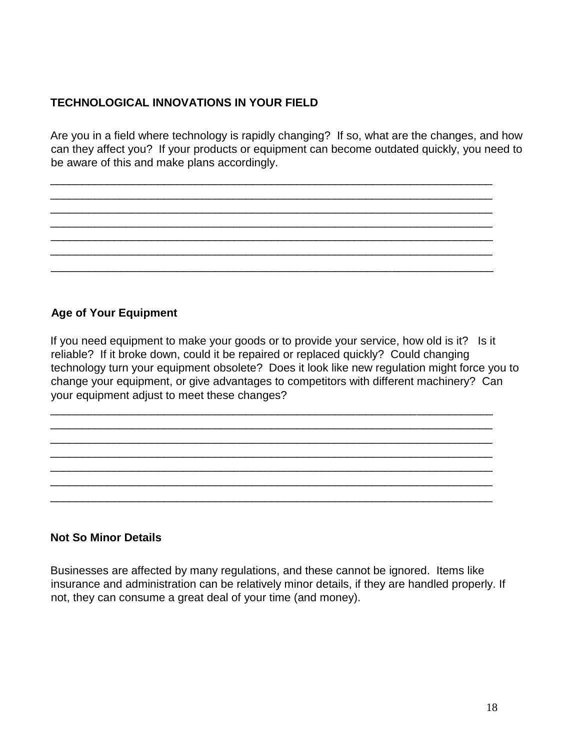# **TECHNOLOGICAL INNOVATIONS IN YOUR FIELD**

Are you in a field where technology is rapidly changing? If so, what are the changes, and how can they affect you? If your products or equipment can become outdated quickly, you need to be aware of this and make plans accordingly.

\_\_\_\_\_\_\_\_\_\_\_\_\_\_\_\_\_\_\_\_\_\_\_\_\_\_\_\_\_\_\_\_\_\_\_\_\_\_\_\_\_\_\_\_\_\_\_\_\_\_\_\_\_\_\_\_\_\_\_\_\_\_\_\_\_\_\_\_\_\_ \_\_\_\_\_\_\_\_\_\_\_\_\_\_\_\_\_\_\_\_\_\_\_\_\_\_\_\_\_\_\_\_\_\_\_\_\_\_\_\_\_\_\_\_\_\_\_\_\_\_\_\_\_\_\_\_\_\_\_\_\_\_\_\_\_\_\_\_\_\_ \_\_\_\_\_\_\_\_\_\_\_\_\_\_\_\_\_\_\_\_\_\_\_\_\_\_\_\_\_\_\_\_\_\_\_\_\_\_\_\_\_\_\_\_\_\_\_\_\_\_\_\_\_\_\_\_\_\_\_\_\_\_\_\_\_\_\_\_\_\_ \_\_\_\_\_\_\_\_\_\_\_\_\_\_\_\_\_\_\_\_\_\_\_\_\_\_\_\_\_\_\_\_\_\_\_\_\_\_\_\_\_\_\_\_\_\_\_\_\_\_\_\_\_\_\_\_\_\_\_\_\_\_\_\_\_\_\_\_\_\_ \_\_\_\_\_\_\_\_\_\_\_\_\_\_\_\_\_\_\_\_\_\_\_\_\_\_\_\_\_\_\_\_\_\_\_\_\_\_\_\_\_\_\_\_\_\_\_\_\_\_\_\_\_\_\_\_\_\_\_\_\_\_\_\_\_\_\_\_\_\_ \_\_\_\_\_\_\_\_\_\_\_\_\_\_\_\_\_\_\_\_\_\_\_\_\_\_\_\_\_\_\_\_\_\_\_\_\_\_\_\_\_\_\_\_\_\_\_\_\_\_\_\_\_\_\_\_\_\_\_\_\_\_\_\_\_\_\_\_\_\_ \_\_\_\_\_\_\_\_\_\_\_\_\_\_\_\_\_\_\_\_\_\_\_\_\_\_\_\_\_\_\_\_\_\_\_\_\_\_\_\_\_\_\_\_\_\_\_\_\_\_\_\_\_\_\_\_\_\_\_\_\_\_\_\_\_\_\_\_\_\_

## **Age of Your Equipment**

If you need equipment to make your goods or to provide your service, how old is it? Is it reliable? If it broke down, could it be repaired or replaced quickly? Could changing technology turn your equipment obsolete? Does it look like new regulation might force you to change your equipment, or give advantages to competitors with different machinery? Can your equipment adjust to meet these changes?

\_\_\_\_\_\_\_\_\_\_\_\_\_\_\_\_\_\_\_\_\_\_\_\_\_\_\_\_\_\_\_\_\_\_\_\_\_\_\_\_\_\_\_\_\_\_\_\_\_\_\_\_\_\_\_\_\_\_\_\_\_\_\_\_\_\_\_\_\_\_ \_\_\_\_\_\_\_\_\_\_\_\_\_\_\_\_\_\_\_\_\_\_\_\_\_\_\_\_\_\_\_\_\_\_\_\_\_\_\_\_\_\_\_\_\_\_\_\_\_\_\_\_\_\_\_\_\_\_\_\_\_\_\_\_\_\_\_\_\_\_ \_\_\_\_\_\_\_\_\_\_\_\_\_\_\_\_\_\_\_\_\_\_\_\_\_\_\_\_\_\_\_\_\_\_\_\_\_\_\_\_\_\_\_\_\_\_\_\_\_\_\_\_\_\_\_\_\_\_\_\_\_\_\_\_\_\_\_\_\_\_ \_\_\_\_\_\_\_\_\_\_\_\_\_\_\_\_\_\_\_\_\_\_\_\_\_\_\_\_\_\_\_\_\_\_\_\_\_\_\_\_\_\_\_\_\_\_\_\_\_\_\_\_\_\_\_\_\_\_\_\_\_\_\_\_\_\_\_\_\_\_ \_\_\_\_\_\_\_\_\_\_\_\_\_\_\_\_\_\_\_\_\_\_\_\_\_\_\_\_\_\_\_\_\_\_\_\_\_\_\_\_\_\_\_\_\_\_\_\_\_\_\_\_\_\_\_\_\_\_\_\_\_\_\_\_\_\_\_\_\_\_ \_\_\_\_\_\_\_\_\_\_\_\_\_\_\_\_\_\_\_\_\_\_\_\_\_\_\_\_\_\_\_\_\_\_\_\_\_\_\_\_\_\_\_\_\_\_\_\_\_\_\_\_\_\_\_\_\_\_\_\_\_\_\_\_\_\_\_\_\_\_ \_\_\_\_\_\_\_\_\_\_\_\_\_\_\_\_\_\_\_\_\_\_\_\_\_\_\_\_\_\_\_\_\_\_\_\_\_\_\_\_\_\_\_\_\_\_\_\_\_\_\_\_\_\_\_\_\_\_\_\_\_\_\_\_\_\_\_\_\_\_

#### **Not So Minor Details**

Businesses are affected by many regulations, and these cannot be ignored. Items like insurance and administration can be relatively minor details, if they are handled properly. If not, they can consume a great deal of your time (and money).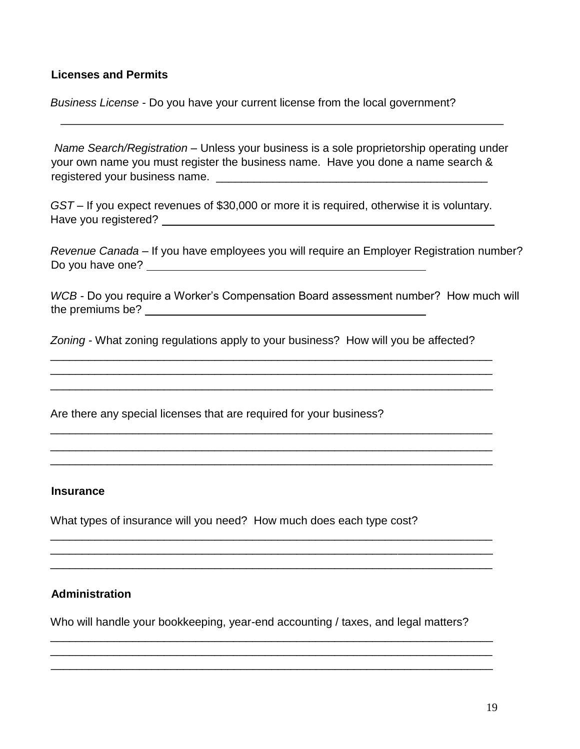### **Licenses and Permits**

*Business License* - Do you have your current license from the local government?

*Name Search/Registration* – Unless your business is a sole proprietorship operating under your own name you must register the business name. Have you done a name search & registered your business name. **Example 20** and the contract of the contract of the contract of the contract of the contract of the contract of the contract of the contract of the contract of the contract of the contract o

*GST* – If you expect revenues of \$30,000 or more it is required, otherwise it is voluntary. Have you registered?

*Revenue Canada* – If you have employees you will require an Employer Registration number? Do you have one?

*WCB* - Do you require a Worker's Compensation Board assessment number? How much will the premiums be?

*Zoning* - What zoning regulations apply to your business? How will you be affected?

\_\_\_\_\_\_\_\_\_\_\_\_\_\_\_\_\_\_\_\_\_\_\_\_\_\_\_\_\_\_\_\_\_\_\_\_\_\_\_\_\_\_\_\_\_\_\_\_\_\_\_\_\_\_\_\_\_\_\_\_\_\_\_\_\_\_\_\_\_\_ \_\_\_\_\_\_\_\_\_\_\_\_\_\_\_\_\_\_\_\_\_\_\_\_\_\_\_\_\_\_\_\_\_\_\_\_\_\_\_\_\_\_\_\_\_\_\_\_\_\_\_\_\_\_\_\_\_\_\_\_\_\_\_\_\_\_\_\_\_\_ \_\_\_\_\_\_\_\_\_\_\_\_\_\_\_\_\_\_\_\_\_\_\_\_\_\_\_\_\_\_\_\_\_\_\_\_\_\_\_\_\_\_\_\_\_\_\_\_\_\_\_\_\_\_\_\_\_\_\_\_\_\_\_\_\_\_\_\_\_\_

\_\_\_\_\_\_\_\_\_\_\_\_\_\_\_\_\_\_\_\_\_\_\_\_\_\_\_\_\_\_\_\_\_\_\_\_\_\_\_\_\_\_\_\_\_\_\_\_\_\_\_\_\_\_\_\_\_\_\_\_\_\_\_\_\_\_\_\_\_\_ \_\_\_\_\_\_\_\_\_\_\_\_\_\_\_\_\_\_\_\_\_\_\_\_\_\_\_\_\_\_\_\_\_\_\_\_\_\_\_\_\_\_\_\_\_\_\_\_\_\_\_\_\_\_\_\_\_\_\_\_\_\_\_\_\_\_\_\_\_\_ \_\_\_\_\_\_\_\_\_\_\_\_\_\_\_\_\_\_\_\_\_\_\_\_\_\_\_\_\_\_\_\_\_\_\_\_\_\_\_\_\_\_\_\_\_\_\_\_\_\_\_\_\_\_\_\_\_\_\_\_\_\_\_\_\_\_\_\_\_\_

\_\_\_\_\_\_\_\_\_\_\_\_\_\_\_\_\_\_\_\_\_\_\_\_\_\_\_\_\_\_\_\_\_\_\_\_\_\_\_\_\_\_\_\_\_\_\_\_\_\_\_\_\_\_\_\_\_\_\_\_\_\_\_\_\_\_\_\_\_\_ \_\_\_\_\_\_\_\_\_\_\_\_\_\_\_\_\_\_\_\_\_\_\_\_\_\_\_\_\_\_\_\_\_\_\_\_\_\_\_\_\_\_\_\_\_\_\_\_\_\_\_\_\_\_\_\_\_\_\_\_\_\_\_\_\_\_\_\_\_\_ \_\_\_\_\_\_\_\_\_\_\_\_\_\_\_\_\_\_\_\_\_\_\_\_\_\_\_\_\_\_\_\_\_\_\_\_\_\_\_\_\_\_\_\_\_\_\_\_\_\_\_\_\_\_\_\_\_\_\_\_\_\_\_\_\_\_\_\_\_\_

Are there any special licenses that are required for your business?

#### **Insurance**

What types of insurance will you need? How much does each type cost?

## **Administration**

Who will handle your bookkeeping, year-end accounting / taxes, and legal matters?

\_\_\_\_\_\_\_\_\_\_\_\_\_\_\_\_\_\_\_\_\_\_\_\_\_\_\_\_\_\_\_\_\_\_\_\_\_\_\_\_\_\_\_\_\_\_\_\_\_\_\_\_\_\_\_\_\_\_\_\_\_\_\_\_\_\_\_\_\_\_ \_\_\_\_\_\_\_\_\_\_\_\_\_\_\_\_\_\_\_\_\_\_\_\_\_\_\_\_\_\_\_\_\_\_\_\_\_\_\_\_\_\_\_\_\_\_\_\_\_\_\_\_\_\_\_\_\_\_\_\_\_\_\_\_\_\_\_\_\_\_ \_\_\_\_\_\_\_\_\_\_\_\_\_\_\_\_\_\_\_\_\_\_\_\_\_\_\_\_\_\_\_\_\_\_\_\_\_\_\_\_\_\_\_\_\_\_\_\_\_\_\_\_\_\_\_\_\_\_\_\_\_\_\_\_\_\_\_\_\_\_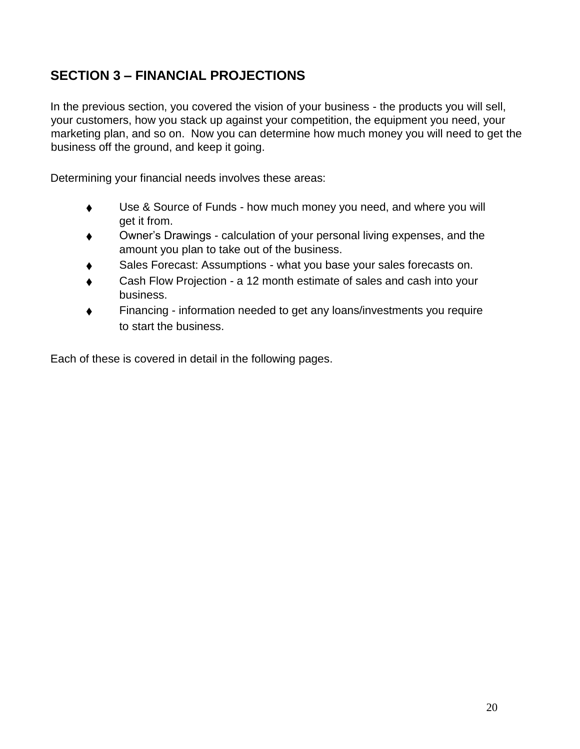# **SECTION 3 – FINANCIAL PROJECTIONS**

In the previous section, you covered the vision of your business - the products you will sell, your customers, how you stack up against your competition, the equipment you need, your marketing plan, and so on. Now you can determine how much money you will need to get the business off the ground, and keep it going.

Determining your financial needs involves these areas:

- ♦ Use & Source of Funds how much money you need, and where you will get it from.
- ♦ Owner's Drawings calculation of your personal living expenses, and the amount you plan to take out of the business.
- Sales Forecast: Assumptions what you base your sales forecasts on.
- Cash Flow Projection a 12 month estimate of sales and cash into your business.
- Financing information needed to get any loans/investments you require to start the business.

Each of these is covered in detail in the following pages.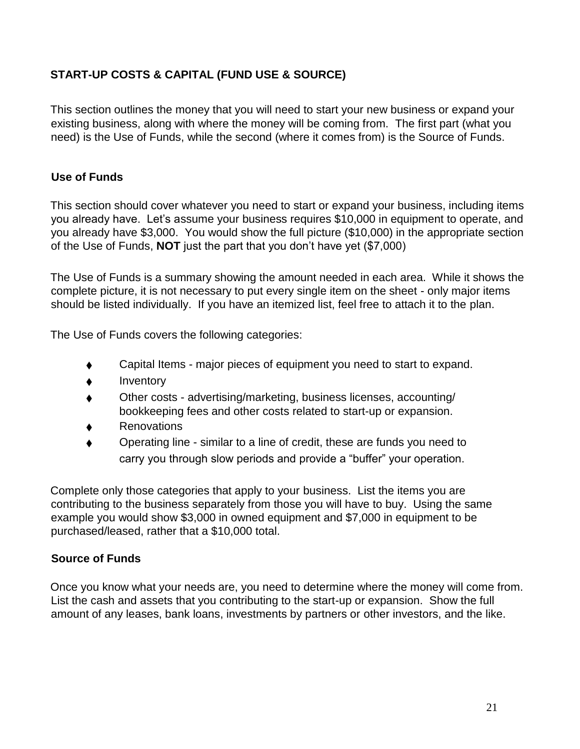# **START-UP COSTS & CAPITAL (FUND USE & SOURCE)**

This section outlines the money that you will need to start your new business or expand your existing business, along with where the money will be coming from. The first part (what you need) is the Use of Funds, while the second (where it comes from) is the Source of Funds.

# **Use of Funds**

This section should cover whatever you need to start or expand your business, including items you already have. Let's assume your business requires \$10,000 in equipment to operate, and you already have \$3,000. You would show the full picture (\$10,000) in the appropriate section of the Use of Funds, **NOT** just the part that you don't have yet (\$7,000)

The Use of Funds is a summary showing the amount needed in each area. While it shows the complete picture, it is not necessary to put every single item on the sheet - only major items should be listed individually. If you have an itemized list, feel free to attach it to the plan.

The Use of Funds covers the following categories:

- ♦ Capital Items major pieces of equipment you need to start to expand.
- Inventory
- Other costs advertising/marketing, business licenses, accounting/ bookkeeping fees and other costs related to start-up or expansion.
- ♦ Renovations
- Operating line similar to a line of credit, these are funds you need to carry you through slow periods and provide a "buffer" your operation.

Complete only those categories that apply to your business. List the items you are contributing to the business separately from those you will have to buy. Using the same example you would show \$3,000 in owned equipment and \$7,000 in equipment to be purchased/leased, rather that a \$10,000 total.

## **Source of Funds**

Once you know what your needs are, you need to determine where the money will come from. List the cash and assets that you contributing to the start-up or expansion. Show the full amount of any leases, bank loans, investments by partners or other investors, and the like.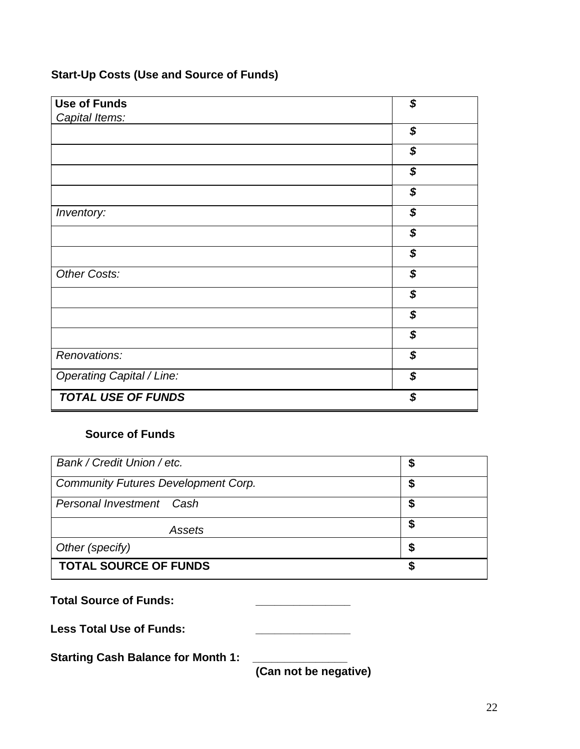# **Start-Up Costs (Use and Source of Funds)**

| <b>Use of Funds</b>              | \$ |
|----------------------------------|----|
| Capital Items:                   |    |
|                                  | \$ |
|                                  | \$ |
|                                  | \$ |
|                                  | \$ |
| Inventory:                       | \$ |
|                                  | \$ |
|                                  | \$ |
| Other Costs:                     | \$ |
|                                  | \$ |
|                                  | \$ |
|                                  | \$ |
| Renovations:                     | \$ |
| <b>Operating Capital / Line:</b> | \$ |
| <b>TOTAL USE OF FUNDS</b>        | \$ |

# **Source of Funds**

| Bank / Credit Union / etc.                 | J  |
|--------------------------------------------|----|
| <b>Community Futures Development Corp.</b> |    |
| Personal Investment Cash                   | \$ |
| Assets                                     | \$ |
| Other (specify)                            | S  |
| <b>TOTAL SOURCE OF FUNDS</b>               |    |

| <b>Total Source of Funds:</b>             |                                           |
|-------------------------------------------|-------------------------------------------|
| <b>Less Total Use of Funds:</b>           |                                           |
| <b>Starting Cash Balance for Month 1:</b> | $\sim$ $\sim$ $\sim$ $\sim$ $\sim$ $\sim$ |

**(Can not be negative)**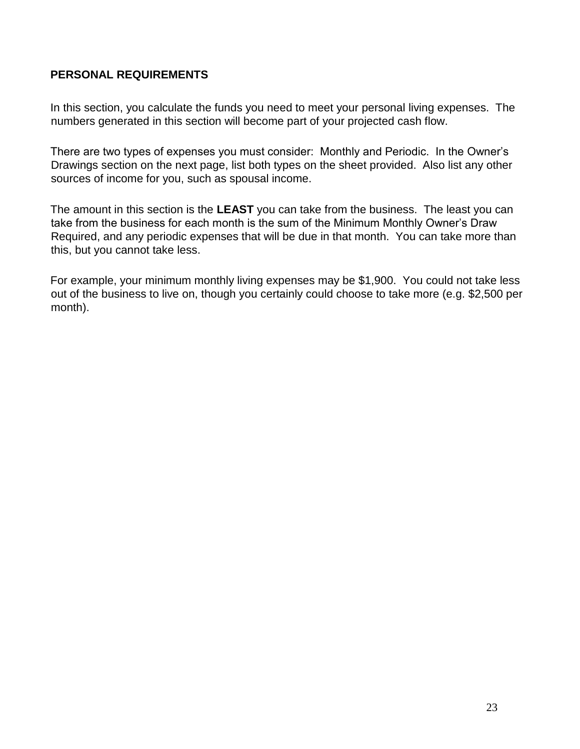## **PERSONAL REQUIREMENTS**

In this section, you calculate the funds you need to meet your personal living expenses. The numbers generated in this section will become part of your projected cash flow.

There are two types of expenses you must consider: Monthly and Periodic. In the Owner's Drawings section on the next page, list both types on the sheet provided. Also list any other sources of income for you, such as spousal income.

The amount in this section is the **LEAST** you can take from the business. The least you can take from the business for each month is the sum of the Minimum Monthly Owner's Draw Required, and any periodic expenses that will be due in that month. You can take more than this, but you cannot take less.

For example, your minimum monthly living expenses may be \$1,900. You could not take less out of the business to live on, though you certainly could choose to take more (e.g. \$2,500 per month).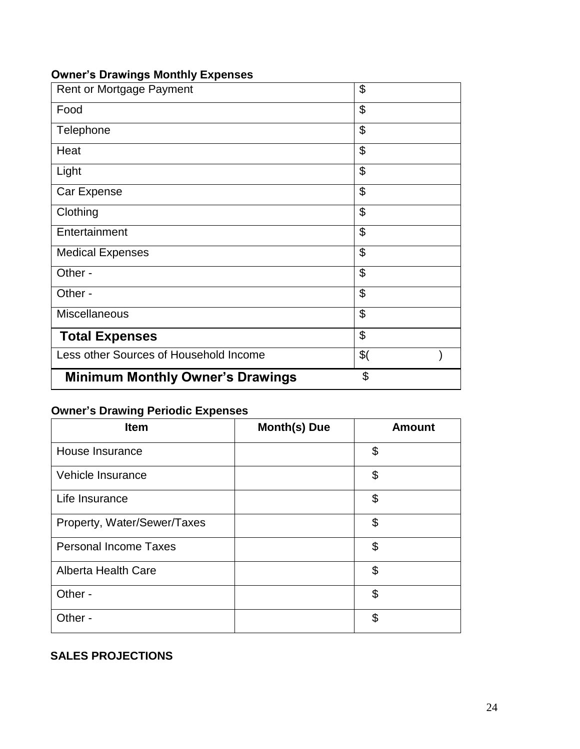# **Owner's Drawings Monthly Expenses**

| Rent or Mortgage Payment                | \$            |
|-----------------------------------------|---------------|
| Food                                    | \$            |
| Telephone                               | \$            |
| Heat                                    | \$            |
| Light                                   | \$            |
| Car Expense                             | \$            |
| Clothing                                | \$            |
| Entertainment                           | \$            |
| <b>Medical Expenses</b>                 | \$            |
| Other -                                 | \$            |
| Other -                                 | \$            |
| Miscellaneous                           | \$            |
| <b>Total Expenses</b>                   | \$            |
| Less other Sources of Household Income  | $\frac{1}{2}$ |
| <b>Minimum Monthly Owner's Drawings</b> | \$            |

# **Owner's Drawing Periodic Expenses**

| <b>Item</b>                  | <b>Month(s) Due</b> | <b>Amount</b> |
|------------------------------|---------------------|---------------|
| House Insurance              |                     | \$            |
| Vehicle Insurance            |                     | \$            |
| Life Insurance               |                     | \$            |
| Property, Water/Sewer/Taxes  |                     | \$            |
| <b>Personal Income Taxes</b> |                     | \$            |
| <b>Alberta Health Care</b>   |                     | \$            |
| Other -                      |                     | \$            |
| Other -                      |                     | \$            |

# **SALES PROJECTIONS**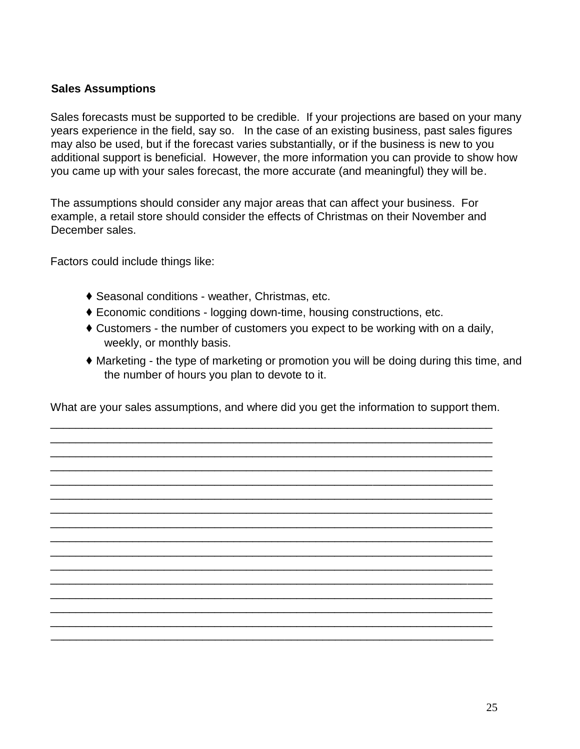## **Sales Assumptions**

Sales forecasts must be supported to be credible. If your projections are based on your many years experience in the field, say so. In the case of an existing business, past sales figures may also be used, but if the forecast varies substantially, or if the business is new to you additional support is beneficial. However, the more information you can provide to show how you came up with your sales forecast, the more accurate (and meaningful) they will be.

The assumptions should consider any major areas that can affect your business. For example, a retail store should consider the effects of Christmas on their November and December sales.

Factors could include things like:

- ♦ Seasonal conditions weather, Christmas, etc.
- ♦ Economic conditions logging down-time, housing constructions, etc.
- ♦ Customers the number of customers you expect to be working with on a daily, weekly, or monthly basis.
- ♦ Marketing the type of marketing or promotion you will be doing during this time, and the number of hours you plan to devote to it.

What are your sales assumptions, and where did you get the information to support them.

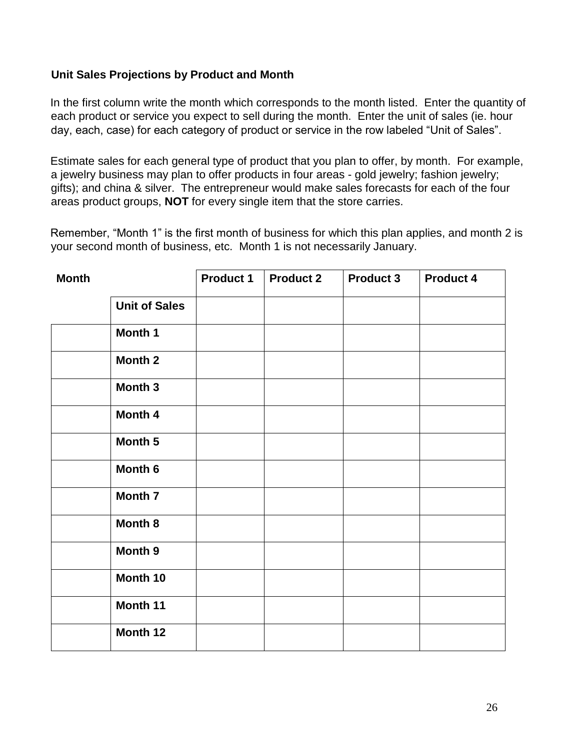## **Unit Sales Projections by Product and Month**

In the first column write the month which corresponds to the month listed. Enter the quantity of each product or service you expect to sell during the month. Enter the unit of sales (ie. hour day, each, case) for each category of product or service in the row labeled "Unit of Sales".

Estimate sales for each general type of product that you plan to offer, by month. For example, a jewelry business may plan to offer products in four areas - gold jewelry; fashion jewelry; gifts); and china & silver. The entrepreneur would make sales forecasts for each of the four areas product groups, **NOT** for every single item that the store carries.

Remember, "Month 1" is the first month of business for which this plan applies, and month 2 is your second month of business, etc. Month 1 is not necessarily January.

| <b>Month</b> |                      | <b>Product 1</b> | <b>Product 2</b> | <b>Product 3</b> | <b>Product 4</b> |
|--------------|----------------------|------------------|------------------|------------------|------------------|
|              | <b>Unit of Sales</b> |                  |                  |                  |                  |
|              | Month 1              |                  |                  |                  |                  |
|              | <b>Month 2</b>       |                  |                  |                  |                  |
|              | Month 3              |                  |                  |                  |                  |
|              | Month 4              |                  |                  |                  |                  |
|              | Month 5              |                  |                  |                  |                  |
|              | Month 6              |                  |                  |                  |                  |
|              | Month 7              |                  |                  |                  |                  |
|              | Month 8              |                  |                  |                  |                  |
|              | Month 9              |                  |                  |                  |                  |
|              | Month 10             |                  |                  |                  |                  |
|              | Month 11             |                  |                  |                  |                  |
|              | Month 12             |                  |                  |                  |                  |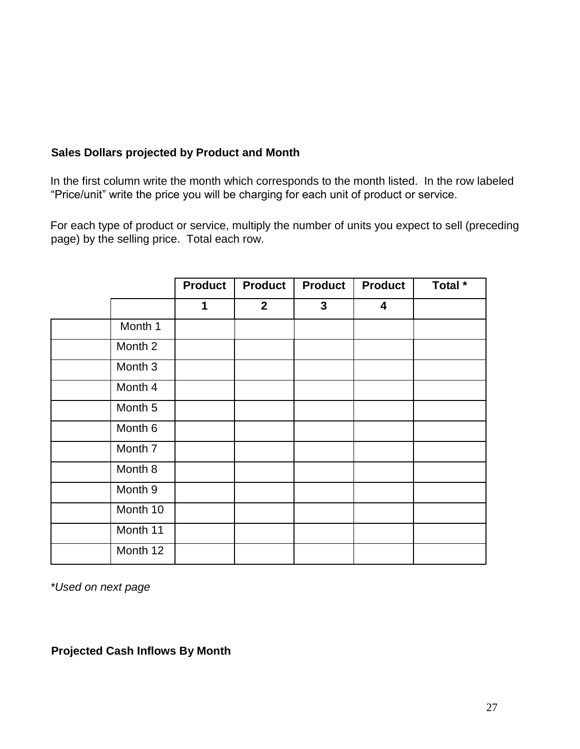# **Sales Dollars projected by Product and Month**

In the first column write the month which corresponds to the month listed. In the row labeled "Price/unit" write the price you will be charging for each unit of product or service.

For each type of product or service, multiply the number of units you expect to sell (preceding page) by the selling price. Total each row.

|          | <b>Product</b> | <b>Product</b> | <b>Product</b> | <b>Product</b> | Total $\overline{\phantom{a}}$ |
|----------|----------------|----------------|----------------|----------------|--------------------------------|
|          | 1              | $\overline{2}$ | $\mathbf{3}$   | 4              |                                |
| Month 1  |                |                |                |                |                                |
| Month 2  |                |                |                |                |                                |
| Month 3  |                |                |                |                |                                |
| Month 4  |                |                |                |                |                                |
| Month 5  |                |                |                |                |                                |
| Month 6  |                |                |                |                |                                |
| Month 7  |                |                |                |                |                                |
| Month 8  |                |                |                |                |                                |
| Month 9  |                |                |                |                |                                |
| Month 10 |                |                |                |                |                                |
| Month 11 |                |                |                |                |                                |
| Month 12 |                |                |                |                |                                |

*\*Used on next page* 

**Projected Cash Inflows By Month**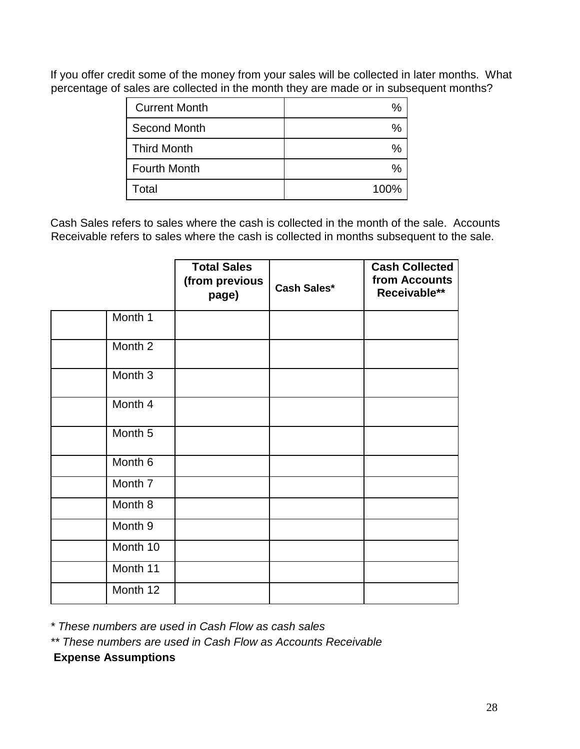If you offer credit some of the money from your sales will be collected in later months. What percentage of sales are collected in the month they are made or in subsequent months?

| <b>Current Month</b> |      |
|----------------------|------|
| Second Month         |      |
| <b>Third Month</b>   |      |
| <b>Fourth Month</b>  |      |
| Total                | 100% |

Cash Sales refers to sales where the cash is collected in the month of the sale. Accounts Receivable refers to sales where the cash is collected in months subsequent to the sale.

|          | <b>Total Sales</b><br>(from previous<br>page) | <b>Cash Sales*</b> | <b>Cash Collected</b><br>from Accounts<br>Receivable** |
|----------|-----------------------------------------------|--------------------|--------------------------------------------------------|
| Month 1  |                                               |                    |                                                        |
| Month 2  |                                               |                    |                                                        |
| Month 3  |                                               |                    |                                                        |
| Month 4  |                                               |                    |                                                        |
| Month 5  |                                               |                    |                                                        |
| Month 6  |                                               |                    |                                                        |
| Month 7  |                                               |                    |                                                        |
| Month 8  |                                               |                    |                                                        |
| Month 9  |                                               |                    |                                                        |
| Month 10 |                                               |                    |                                                        |
| Month 11 |                                               |                    |                                                        |
| Month 12 |                                               |                    |                                                        |

*\* These numbers are used in Cash Flow as cash sales* 

*\*\* These numbers are used in Cash Flow as Accounts Receivable* 

**Expense Assumptions**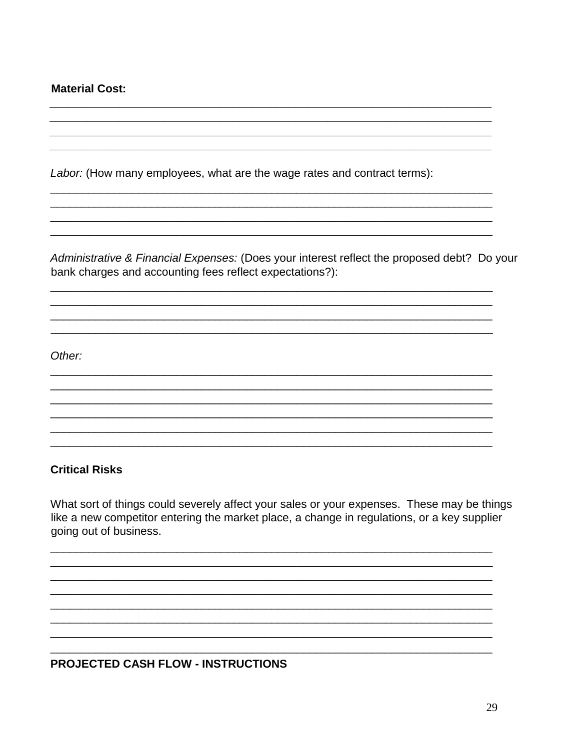**Material Cost:** 

Labor: (How many employees, what are the wage rates and contract terms):

Administrative & Financial Expenses: (Does your interest reflect the proposed debt? Do your bank charges and accounting fees reflect expectations?):

Other:

## **Critical Risks**

What sort of things could severely affect your sales or your expenses. These may be things like a new competitor entering the market place, a change in regulations, or a key supplier going out of business.

**PROJECTED CASH FLOW - INSTRUCTIONS**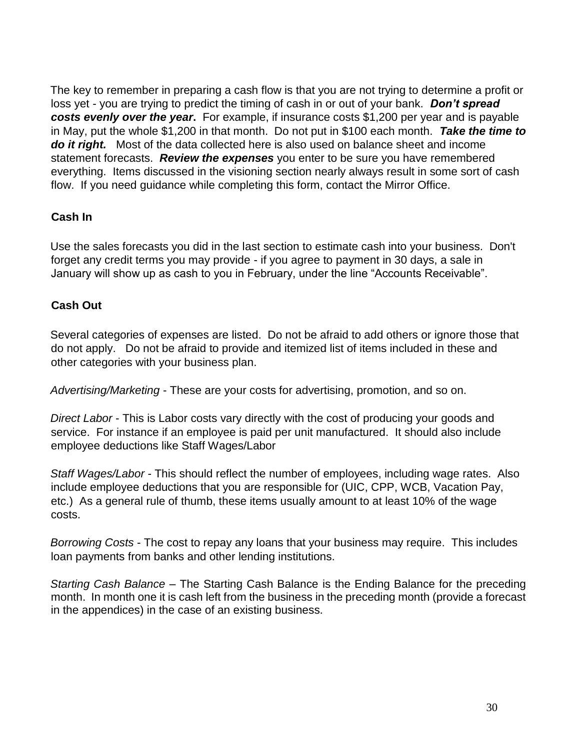The key to remember in preparing a cash flow is that you are not trying to determine a profit or loss yet - you are trying to predict the timing of cash in or out of your bank. *Don't spread costs evenly over the year***.** For example, if insurance costs \$1,200 per year and is payable in May, put the whole \$1,200 in that month. Do not put in \$100 each month. *Take the time to do it right.* Most of the data collected here is also used on balance sheet and income statement forecasts. *Review the expenses* you enter to be sure you have remembered everything. Items discussed in the visioning section nearly always result in some sort of cash flow. If you need guidance while completing this form, contact the Mirror Office.

## **Cash In**

Use the sales forecasts you did in the last section to estimate cash into your business. Don't forget any credit terms you may provide - if you agree to payment in 30 days, a sale in January will show up as cash to you in February, under the line "Accounts Receivable".

## **Cash Out**

Several categories of expenses are listed. Do not be afraid to add others or ignore those that do not apply. Do not be afraid to provide and itemized list of items included in these and other categories with your business plan.

*Advertising/Marketing* - These are your costs for advertising, promotion, and so on.

*Direct Labor* - This is Labor costs vary directly with the cost of producing your goods and service. For instance if an employee is paid per unit manufactured. It should also include employee deductions like Staff Wages/Labor

*Staff Wages/Labor* - This should reflect the number of employees, including wage rates. Also include employee deductions that you are responsible for (UIC, CPP, WCB, Vacation Pay, etc.) As a general rule of thumb, these items usually amount to at least 10% of the wage costs.

*Borrowing Costs* - The cost to repay any loans that your business may require. This includes loan payments from banks and other lending institutions.

*Starting Cash Balance* – The Starting Cash Balance is the Ending Balance for the preceding month. In month one it is cash left from the business in the preceding month (provide a forecast in the appendices) in the case of an existing business.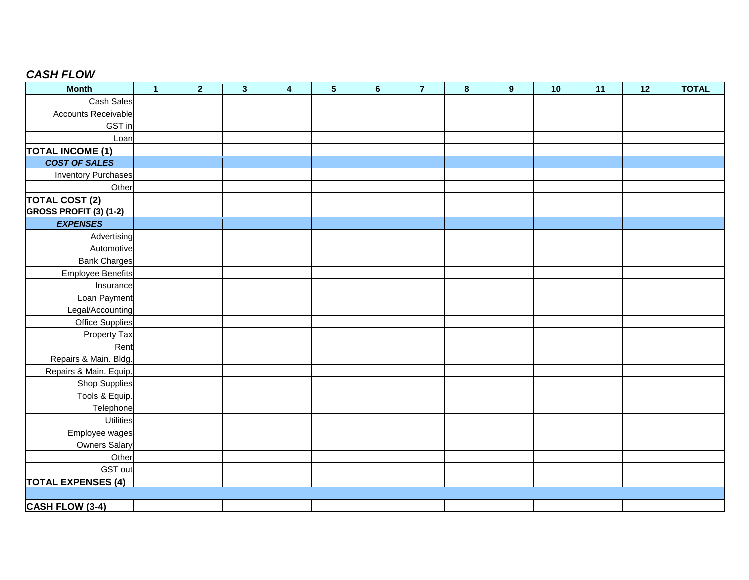# *CASH FLOW*

| <b>Month</b>                  | $\mathbf{1}$ | $\overline{2}$ | $\mathbf{3}$ | 4 | 5 | $6\phantom{1}$ | $\overline{7}$ | 8 | $\boldsymbol{9}$ | 10 | 11 | 12 | <b>TOTAL</b> |
|-------------------------------|--------------|----------------|--------------|---|---|----------------|----------------|---|------------------|----|----|----|--------------|
| Cash Sales                    |              |                |              |   |   |                |                |   |                  |    |    |    |              |
| Accounts Receivable           |              |                |              |   |   |                |                |   |                  |    |    |    |              |
| GST in                        |              |                |              |   |   |                |                |   |                  |    |    |    |              |
| Loan                          |              |                |              |   |   |                |                |   |                  |    |    |    |              |
| <b>TOTAL INCOME (1)</b>       |              |                |              |   |   |                |                |   |                  |    |    |    |              |
| <b>COST OF SALES</b>          |              |                |              |   |   |                |                |   |                  |    |    |    |              |
| <b>Inventory Purchases</b>    |              |                |              |   |   |                |                |   |                  |    |    |    |              |
| Other                         |              |                |              |   |   |                |                |   |                  |    |    |    |              |
| <b>TOTAL COST (2)</b>         |              |                |              |   |   |                |                |   |                  |    |    |    |              |
| <b>GROSS PROFIT (3) (1-2)</b> |              |                |              |   |   |                |                |   |                  |    |    |    |              |
| <b>EXPENSES</b>               |              |                |              |   |   |                |                |   |                  |    |    |    |              |
| Advertising                   |              |                |              |   |   |                |                |   |                  |    |    |    |              |
| Automotive                    |              |                |              |   |   |                |                |   |                  |    |    |    |              |
| <b>Bank Charges</b>           |              |                |              |   |   |                |                |   |                  |    |    |    |              |
| Employee Benefits             |              |                |              |   |   |                |                |   |                  |    |    |    |              |
| Insurance                     |              |                |              |   |   |                |                |   |                  |    |    |    |              |
| Loan Payment                  |              |                |              |   |   |                |                |   |                  |    |    |    |              |
| Legal/Accounting              |              |                |              |   |   |                |                |   |                  |    |    |    |              |
| Office Supplies               |              |                |              |   |   |                |                |   |                  |    |    |    |              |
| <b>Property Tax</b>           |              |                |              |   |   |                |                |   |                  |    |    |    |              |
| Rent                          |              |                |              |   |   |                |                |   |                  |    |    |    |              |
| Repairs & Main. Bldg.         |              |                |              |   |   |                |                |   |                  |    |    |    |              |
| Repairs & Main. Equip.        |              |                |              |   |   |                |                |   |                  |    |    |    |              |
| Shop Supplies                 |              |                |              |   |   |                |                |   |                  |    |    |    |              |
| Tools & Equip.                |              |                |              |   |   |                |                |   |                  |    |    |    |              |
| Telephone                     |              |                |              |   |   |                |                |   |                  |    |    |    |              |
| <b>Utilities</b>              |              |                |              |   |   |                |                |   |                  |    |    |    |              |
| Employee wages                |              |                |              |   |   |                |                |   |                  |    |    |    |              |
| <b>Owners Salary</b>          |              |                |              |   |   |                |                |   |                  |    |    |    |              |
| Other                         |              |                |              |   |   |                |                |   |                  |    |    |    |              |
| GST out                       |              |                |              |   |   |                |                |   |                  |    |    |    |              |
| <b>TOTAL EXPENSES (4)</b>     |              |                |              |   |   |                |                |   |                  |    |    |    |              |
|                               |              |                |              |   |   |                |                |   |                  |    |    |    |              |
| <b>CASH FLOW (3-4)</b>        |              |                |              |   |   |                |                |   |                  |    |    |    |              |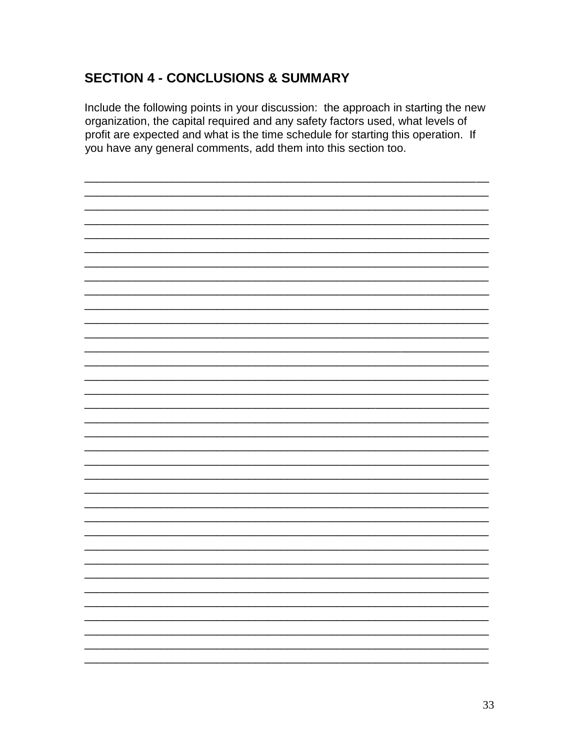# **SECTION 4 - CONCLUSIONS & SUMMARY**

Include the following points in your discussion: the approach in starting the new organization, the capital required and any safety factors used, what levels of profit are expected and what is the time schedule for starting this operation. If you have any general comments, add them into this section too.

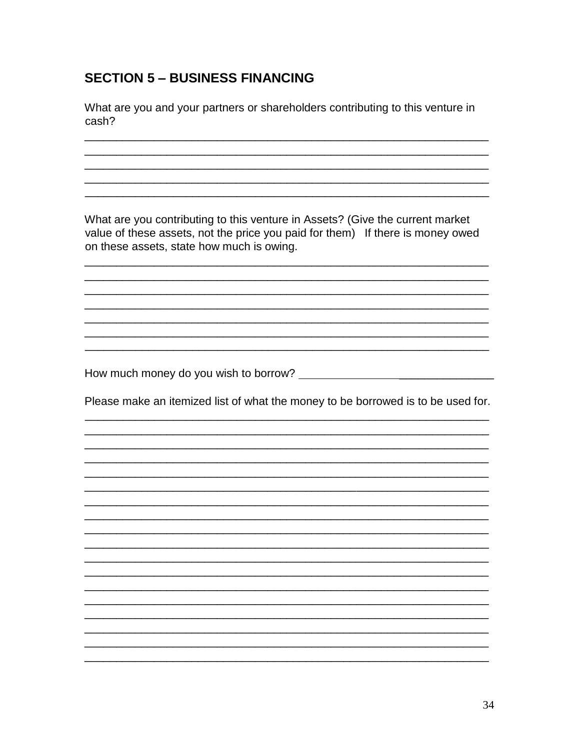# **SECTION 5 - BUSINESS FINANCING**

What are you and your partners or shareholders contributing to this venture in cash?

What are you contributing to this venture in Assets? (Give the current market value of these assets, not the price you paid for them) If there is money owed on these assets, state how much is owing.

Please make an itemized list of what the money to be borrowed is to be used for.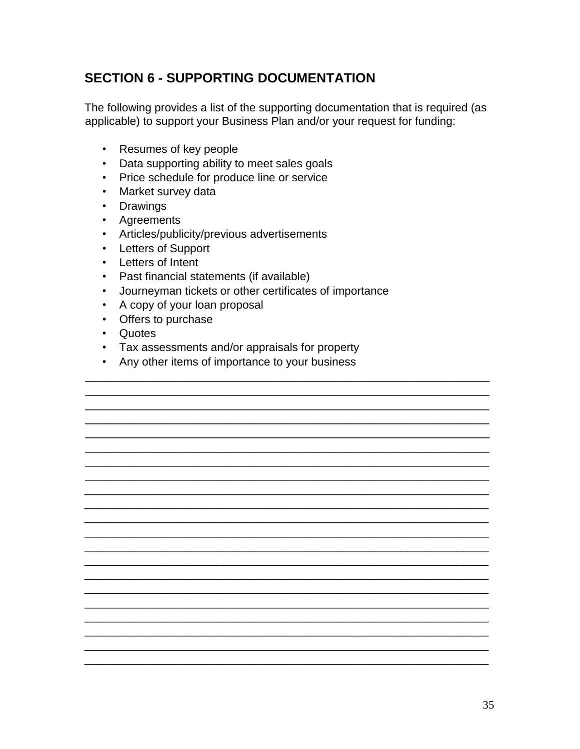# **SECTION 6 - SUPPORTING DOCUMENTATION**

The following provides a list of the supporting documentation that is required (as applicable) to support your Business Plan and/or your request for funding:

- Resumes of key people
- Data supporting ability to meet sales goals
- Price schedule for produce line or service
- Market survey data
- Drawings
- Agreements
- Articles/publicity/previous advertisements
- Letters of Support
- Letters of Intent
- Past financial statements (if available)
- Journeyman tickets or other certificates of importance
- A copy of your loan proposal
- Offers to purchase
- Quotes
- Tax assessments and/or appraisals for property
- Any other items of importance to your business